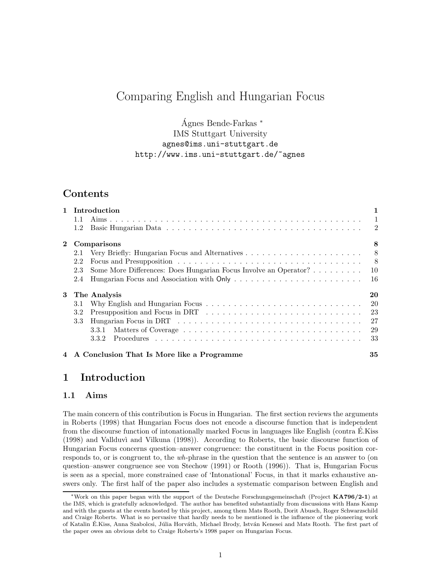# Comparing English and Hungarian Focus

 $\angle$ Agnes Bende-Farkas  $*$ IMS Stuttgart University agnes@ims.uni-stuttgart.de http://www.ims.uni-stuttgart.de/~agnes

# Contents

|              | 1 Introduction                                                                                                                                                                                                                       |     |  |
|--------------|--------------------------------------------------------------------------------------------------------------------------------------------------------------------------------------------------------------------------------------|-----|--|
|              | 1.1                                                                                                                                                                                                                                  |     |  |
|              | 1.2                                                                                                                                                                                                                                  |     |  |
| $\mathbf{2}$ | Comparisons                                                                                                                                                                                                                          | 8   |  |
|              | 2.1                                                                                                                                                                                                                                  |     |  |
|              | 2.2                                                                                                                                                                                                                                  | 8   |  |
|              | Some More Differences: Does Hungarian Focus Involve an Operator?<br>2.3                                                                                                                                                              | -10 |  |
|              | 2.4                                                                                                                                                                                                                                  | -16 |  |
| 3            | The Analysis                                                                                                                                                                                                                         | 20  |  |
|              | Why English and Hungarian Focus $\ldots \ldots \ldots \ldots \ldots \ldots \ldots \ldots \ldots \ldots$<br>3.1                                                                                                                       | -20 |  |
|              | 3.2                                                                                                                                                                                                                                  | 23  |  |
|              | Hungarian Focus in DRT (a) and a contract the contract of the contract of the contract of the contract of the contract of the contract of the contract of the contract of the contract of the contract of the contract of the<br>3.3 |     |  |
|              | 3.3.1                                                                                                                                                                                                                                | 29  |  |
|              | 3.3.2                                                                                                                                                                                                                                | -33 |  |
|              | 4 A Conclusion That Is More like a Programme                                                                                                                                                                                         | 35  |  |

# 1 Introduction

## 1.1 Aims

The main concern of this contribution is Focus in Hungarian. The first section reviews the arguments in Roberts (1998) that Hungarian Focus does not encode a discourse function that is independent from the discourse function of intonationally marked Focus in languages like English (contra E.Kiss ´ (1998) and Vallduv`ı and Vilkuna (1998)). According to Roberts, the basic discourse function of Hungarian Focus concerns question–answer congruence: the constituent in the Focus position corresponds to, or is congruent to, the wh-phrase in the question that the sentence is an answer to (on question–answer congruence see von Stechow (1991) or Rooth (1996)). That is, Hungarian Focus is seen as a special, more constrained case of 'Intonational' Focus, in that it marks exhaustive answers only. The first half of the paper also includes a systematic comparison between English and

<sup>∗</sup>Work on this paper began with the support of the Deutsche Forschungsgemeinschaft (Project KA796/2-1) at the IMS, which is gratefully acknowledged. The author has benefited substantially from discussions with Hans Kamp and with the guests at the events hosted by this project, among them Mats Rooth, Dorit Abusch, Roger Schwarzschild and Craige Roberts. What is so pervasive that hardly needs to be mentioned is the influence of the pioneering work of Katalin É.Kiss, Anna Szabolcsi, Júlia Horváth, Michael Brody, István Kenesei and Mats Rooth. The first part of the paper owes an obvious debt to Craige Roberts's 1998 paper on Hungarian Focus.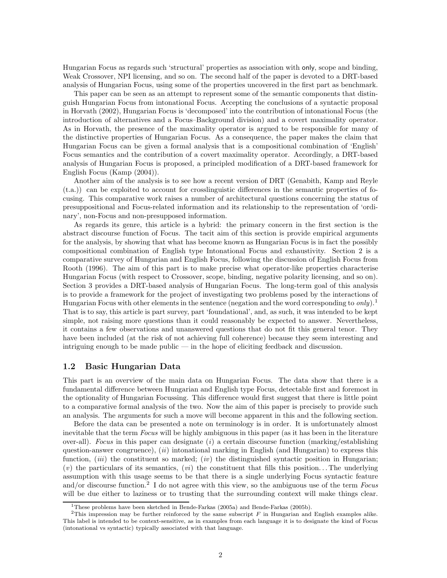Hungarian Focus as regards such 'structural' properties as association with only, scope and binding, Weak Crossover, NPI licensing, and so on. The second half of the paper is devoted to a DRT-based analysis of Hungarian Focus, using some of the properties uncovered in the first part as benchmark.

This paper can be seen as an attempt to represent some of the semantic components that distinguish Hungarian Focus from intonational Focus. Accepting the conclusions of a syntactic proposal in Horvath (2002), Hungarian Focus is 'decomposed' into the contribution of intonational Focus (the introduction of alternatives and a Focus–Background division) and a covert maximality operator. As in Horvath, the presence of the maximality operator is argued to be responsible for many of the distinctive properties of Hungarian Focus. As a consequence, the paper makes the claim that Hungarian Focus can be given a formal analysis that is a compositional combination of 'English' Focus semantics and the contribution of a covert maximality operator. Accordingly, a DRT-based analysis of Hungarian Focus is proposed, a principled modification of a DRT-based framework for English Focus (Kamp (2004)).

Another aim of the analysis is to see how a recent version of DRT (Genabith, Kamp and Reyle (t.a.)) can be exploited to account for crosslinguistic differences in the semantic properties of focusing. This comparative work raises a number of architectural questions concerning the status of presuppositional and Focus-related information and its relationship to the representation of 'ordinary', non-Focus and non-presupposed information.

As regards its genre, this article is a hybrid: the primary concern in the first section is the abstract discourse function of Focus. The tacit aim of this section is provide empirical arguments for the analysis, by showing that what has become known as Hungarian Focus is in fact the possibly compositional combination of English type Intonational Focus and exhaustivity. Section 2 is a comparative survey of Hungarian and English Focus, following the discussion of English Focus from Rooth (1996). The aim of this part is to make precise what operator-like properties characterise Hungarian Focus (with respect to Crossover, scope, binding, negative polarity licensing, and so on). Section 3 provides a DRT-based analysis of Hungarian Focus. The long-term goal of this analysis is to provide a framework for the project of investigating two problems posed by the interactions of Hungarian Focus with other elements in the sentence (negation and the word corresponding to  $only$ ).<sup>1</sup> That is to say, this article is part survey, part 'foundational', and, as such, it was intended to be kept simple, not raising more questions than it could reasonably be expected to answer. Nevertheless, it contains a few observations and unanswered questions that do not fit this general tenor. They have been included (at the risk of not achieving full coherence) because they seem interesting and intriguing enough to be made public — in the hope of eliciting feedback and discussion.

### 1.2 Basic Hungarian Data

This part is an overview of the main data on Hungarian Focus. The data show that there is a fundamental difference between Hungarian and English type Focus, detectable first and foremost in the optionality of Hungarian Focussing. This difference would first suggest that there is little point to a comparative formal analysis of the two. Now the aim of this paper is precisely to provide such an analysis. The arguments for such a move will become apparent in this and the following section.

Before the data can be presented a note on terminology is in order. It is unfortunately almost inevitable that the term Focus will be highly ambiguous in this paper (as it has been in the literature over-all). Focus in this paper can designate (i) a certain discourse function (marking/establishing question-answer congruence),  $(ii)$  intonational marking in English (and Hungarian) to express this function,  $(iii)$  the constituent so marked;  $(iv)$  the distinguished syntactic position in Hungarian;  $(v)$  the particulars of its semantics,  $(vi)$  the constituent that fills this position... The underlying assumption with this usage seems to be that there is a single underlying Focus syntactic feature and/or discourse function.<sup>2</sup> I do not agree with this view, so the ambiguous use of the term Focus will be due either to laziness or to trusting that the surrounding context will make things clear.

<sup>&</sup>lt;sup>1</sup>These problems have been sketched in Bende-Farkas (2005a) and Bende-Farkas (2005b).

<sup>&</sup>lt;sup>2</sup>This impression may be further reinforced by the same subscript  $F$  in Hungarian and English examples alike. This label is intended to be context-sensitive, as in examples from each language it is to designate the kind of Focus (intonational vs syntactic) typically associated with that language.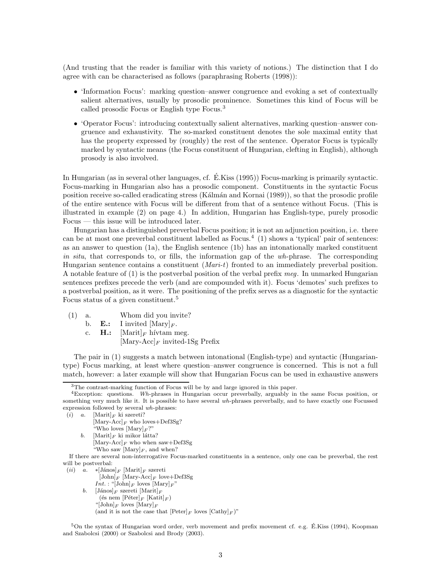(And trusting that the reader is familiar with this variety of notions.) The distinction that I do agree with can be characterised as follows (paraphrasing Roberts (1998)):

- 'Information Focus': marking question–answer congruence and evoking a set of contextually salient alternatives, usually by prosodic prominence. Sometimes this kind of Focus will be called prosodic Focus or English type Focus.<sup>3</sup>
- 'Operator Focus': introducing contextually salient alternatives, marking question–answer congruence and exhaustivity. The so-marked constituent denotes the sole maximal entity that has the property expressed by (roughly) the rest of the sentence. Operator Focus is typically marked by syntactic means (the Focus constituent of Hungarian, clefting in English), although prosody is also involved.

In Hungarian (as in several other languages, cf. E.Kiss (1995)) Focus-marking is primarily syntactic. Focus-marking in Hungarian also has a prosodic component. Constituents in the syntactic Focus position receive so-called eradicating stress (Kálmán and Kornai (1989)), so that the prosodic profile of the entire sentence with Focus will be different from that of a sentence without Focus. (This is illustrated in example (2) on page 4.) In addition, Hungarian has English-type, purely prosodic Focus — this issue will be introduced later.

Hungarian has a distinguished preverbal Focus position; it is not an adjunction position, i.e. there can be at most one preverbal constituent labelled as Focus.<sup>4</sup> (1) shows a 'typical' pair of sentences: as an answer to question (1a), the English sentence (1b) has an intonationally marked constituent in situ, that corresponds to, or fills, the information gap of the  $wh$ -phrase. The corresponding Hungarian sentence contains a constituent  $(Mari-t)$  fronted to an immediately preverbal position. A notable feature of (1) is the postverbal position of the verbal prefix meg. In unmarked Hungarian sentences prefixes precede the verb (and are compounded with it). Focus 'demotes' such prefixes to a postverbal position, as it were. The positioning of the prefix serves as a diagnostic for the syntactic Focus status of a given constituent.<sup>5</sup>

- (1) a. Whom did you invite?
	- b. **E.:** I invited  $[\text{Mary}]_F$ .
	- c. **H.:**  $[\text{Marit}]_F$  hívtam meg.  $[\text{Mary-Acc}]_F$  invited-1Sg Prefix

The pair in (1) suggests a match between intonational (English-type) and syntactic (Hungariantype) Focus marking, at least where question–answer congruence is concerned. This is not a full match, however: a later example will show that Hungarian Focus can be used in exhaustive answers

```
(i) a. [Marit]_F ki szereti?
```
- $[\text{Mary-Acc}]_F$  who loves+Def3Sg? "Who loves  $[\text{Mary}]_F$ ?" b. [Marit] $_F$  ki mikor látta?
- $[\text{Mary-Acc}]_F$  who when saw+Def3Sg
	- "Who saw  $[\text{Mary}]_F$ , and when?

If there are several non-interrogative Focus-marked constituents in a sentence, only one can be preverbal, the rest will be postverbal:

- (ii) a. ∗[János]<sub>F</sub> [Marit]<sub>F</sub> szereti  $[John]_F$  [Mary-Acc]<sub>F</sub> love+Def3Sg *Int.*: "[John]<sub>F</sub> loves  $[\text{Mary}]_F$ " b. [János] $_F$  szereti [Marit] $_F$ (és nem  $[\mathsf{P\acute{e}ter}]_F$  [Katit] $_F$ )
	- "[John] $_F$  loves  $[\text{Mary}]_F$

(and it is not the case that  $[Peter]_F$  loves  $[Cathy]_F$ )"

<sup>5</sup>On the syntax of Hungarian word order, verb movement and prefix movement cf. e.g. É.Kiss (1994), Koopman and Szabolcsi (2000) or Szabolcsi and Brody (2003).

<sup>3</sup>The contrast-marking function of Focus will be by and large ignored in this paper.

<sup>4</sup>Exception: questions. Wh-phrases in Hungarian occur preverbally, arguably in the same Focus position, or something very much like it. It is possible to have several wh-phrases preverbally, and to have exactly one Focussed expression followed by several wh-phrases: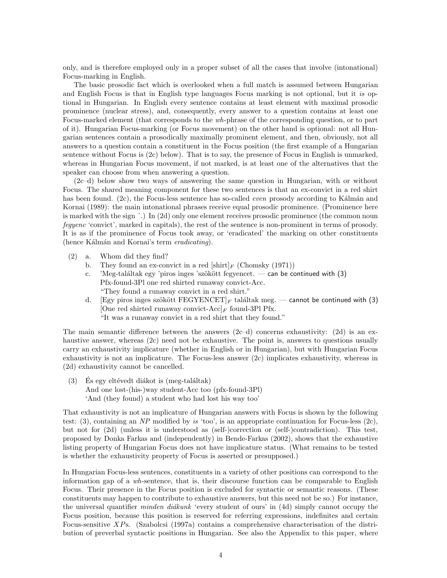only, and is therefore employed only in a proper subset of all the cases that involve (intonational) Focus-marking in English.

The basic prosodic fact which is overlooked when a full match is assumed between Hungarian and English Focus is that in English type languages Focus marking is not optional, but it is optional in Hungarian. In English every sentence contains at least element with maximal prosodic prominence (nuclear stress), and, consequently, every answer to a question contains at least one Focus-marked element (that corresponds to the wh-phrase of the corresponding question, or to part of it). Hungarian Focus-marking (or Focus movement) on the other hand is optional: not all Hungarian sentences contain a prosodically maximally prominent element, and then, obviously, not all answers to a question contain a constituent in the Focus position (the first example of a Hungarian sentence without Focus is (2c) below). That is to say, the presence of Focus in English is unmarked, whereas in Hungarian Focus movement, if not marked, is at least one of the alternatives that the speaker can choose from when answering a question.

(2c–d) below show two ways of answering the same question in Hungarian, with or without Focus. The shared meaning component for these two sentences is that an ex-convict in a red shirt has been found.  $(2c)$ , the Focus-less sentence has so-called *even* prosody according to Kálmán and Kornai (1989): the main intonational phrases receive equal prosodic prominence. (Prominence here is marked with the sign ´.) In (2d) only one element receives prosodic prominence (the common noun fegyenc 'convict', marked in capitals), the rest of the sentence is non-prominent in terms of prosody. It is as if the prominence of Focus took away, or 'eradicated' the marking on other constituents (hence Kálmán and Kornai's term *eradicating*).

- (2) a. Whom did they find?
	- b. They found an ex-convict in a red  $[\text{shirt}]_F$  (Chomsky (1971))
	- c. 'Meg-találtak egy 'piros inges 'szökött fegyencet. can be continued with  $(3)$ Pfx-found-3Pl one red shirted runaway convict-Acc. "They found a runaway convict in a red shirt."
	- d. [Egy piros inges szökött FEGYENCET]<sub>F</sub> találtak meg. cannot be continued with (3) [One red shirted runaway convict-Acc]<sub>F</sub> found-3Pl Pfx. "It was a runaway convict in a red shirt that they found."

The main semantic difference between the answers  $(2c-d)$  concerns exhaustivity:  $(2d)$  is an exhaustive answer, whereas (2c) need not be exhaustive. The point is, answers to questions usually carry an exhaustivity implicature (whether in English or in Hungarian), but with Hungarian Focus exhaustivity is not an implicature. The Focus-less answer (2c) implicates exhaustivity, whereas in (2d) exhaustivity cannot be cancelled.

 $(3)$  Es egy eltévedt diákot is (meg-találtak) And one lost-(his-)way student-Acc too (pfx-found-3Pl) 'And (they found) a student who had lost his way too'

That exhaustivity is not an implicature of Hungarian answers with Focus is shown by the following test: (3), containing an NP modified by is 'too', is an appropriate continuation for Focus-less (2c), but not for (2d) (unless it is understood as (self-)correction or (self-)contradiction). This test, proposed by Donka Farkas and (independently) in Bende-Farkas (2002), shows that the exhaustive listing property of Hungarian Focus does not have implicature status. (What remains to be tested is whether the exhaustivity property of Focus is asserted or presupposed.)

In Hungarian Focus-less sentences, constituents in a variety of other positions can correspond to the information gap of a wh-sentence, that is, their discourse function can be comparable to English Focus. Their presence in the Focus position is excluded for syntactic or semantic reasons. (These constituents may happen to contribute to exhaustive answers, but this need not be so.) For instance, the universal quantifier *minden diákunk* 'every student of ours' in  $(4d)$  simply cannot occupy the Focus position, because this position is reserved for referring expressions, indefinites and certain Focus-sensitive XPs. (Szabolcsi (1997a) contains a comprehensive characterisation of the distribution of preverbal syntactic positions in Hungarian. See also the Appendix to this paper, where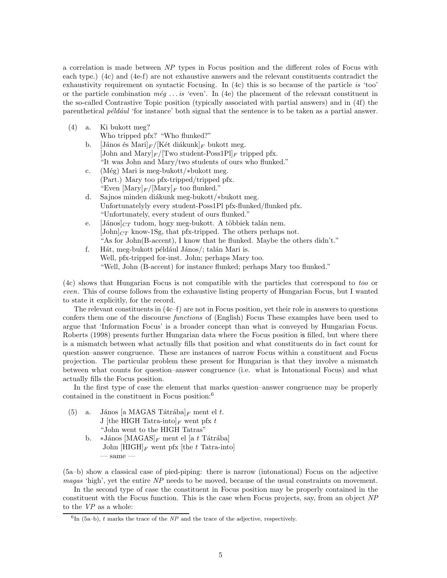a correlation is made between NP types in Focus position and the different roles of Focus with each type.) (4c) and (4e-f) are not exhaustive answers and the relevant constituents contradict the exhaustivity requirement on syntactic Focusing. In (4c) this is so because of the particle is 'too' or the particle combination  $m\acute{e}g$ ... is 'even'. In (4e) the placement of the relevant constituent in the so-called Contrastive Topic position (typically associated with partial answers) and in (4f) the parenthetical  $p\acute{e}ld\acute{a}ul$  'for instance' both signal that the sentence is to be taken as a partial answer.

(4) a. Ki bukott meg?

Who tripped pfx? "Who flunked?"

- b. [János és Mari] $_F / [\text{K\'et di\'akunk}]_F$  bukott meg. [John and Mary] $_F$ /[Two student-Poss1Pl] $_F$  tripped pfx. "It was John and Mary/two students of ours who flunked."
- c. (Még) Mari is meg-bukott/∗bukott meg. (Part.) Mary too pfx-tripped/tripped pfx. "Even  $[\text{Mary}]_F/[\text{Mary}]_F$  too flunked."
- d. Sajnos minden diákunk meg-bukott/∗bukott meg. Unfortunatelyly every student-Poss1Pl pfx-flunked/flunked pfx. "Unfortunately, every student of ours flunked."
- e.  $[János]_{CT}$  tudom, hogy meg-bukott. A többiek talán nem.  $[John]_{CT}$  know-1Sg, that pfx-tripped. The others perhaps not. "As for John(B-accent), I know that he flunked. Maybe the others didn't."
- f. Hát, meg-bukott például János/; talán Mari is. Well, pfx-tripped for-inst. John; perhaps Mary too. "Well, John (B-accent) for instance flunked; perhaps Mary too flunked."

(4c) shows that Hungarian Focus is not compatible with the particles that correspond to too or even. This of course follows from the exhaustive listing property of Hungarian Focus, but I wanted to state it explicitly, for the record.

The relevant constituents in (4c–f) are not in Focus position, yet their role in answers to questions confers them one of the discourse functions of (English) Focus These examples have been used to argue that 'Information Focus' is a broader concept than what is conveyed by Hungarian Focus. Roberts (1998) presents further Hungarian data where the Focus position is filled, but where there is a mismatch between what actually fills that position and what constituents do in fact count for question–answer congruence. These are instances of narrow Focus within a constituent and Focus projection. The particular problem these present for Hungarian is that they involve a mismatch between what counts for question–answer congruence (i.e. what is Intonational Focus) and what actually fills the Focus position.

In the first type of case the element that marks question–answer congruence may be properly contained in the constituent in Focus position:<sup>6</sup>

- (5) a. János [a MAGAS Tátrába]<sub>F</sub> ment el t. J [the HIGH Tatra-into]<sub>F</sub> went pfx t "John went to the HIGH Tatras"
	- b. ∗János [MAGAS] $_F$  ment el [a t Tátrába] John  $[HIGH]_F$  went pfx [the t Tatra-into]  $-$  same  $-$

(5a–b) show a classical case of pied-piping: there is narrow (intonational) Focus on the adjective magas 'high', yet the entire NP needs to be moved, because of the usual constraints on movement.

In the second type of case the constituent in Focus position may be properly contained in the constituent with the Focus function. This is the case when Focus projects, say, from an object NP to the VP as a whole:

 ${}^{6}$ In (5a-b), t marks the trace of the NP and the trace of the adjective, respectively.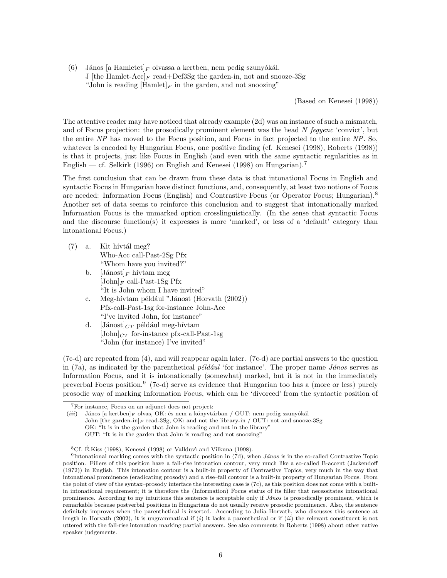(6) János [a Hamletet]<sub>F</sub> olvassa a kertben, nem pedig szunyókál. J [the Hamlet-Acc]<sub>F</sub> read+Def3Sg the garden-in, not and snooze-3Sg "John is reading  $[\text{Hamlet}]_F$  in the garden, and not snoozing"

(Based on Kenesei (1998))

The attentive reader may have noticed that already example (2d) was an instance of such a mismatch, and of Focus projection: the prosodically prominent element was the head N fegyenc 'convict', but the entire NP has moved to the Focus position, and Focus in fact projected to the entire NP. So, whatever is encoded by Hungarian Focus, one positive finding (cf. Kenesei (1998), Roberts (1998)) is that it projects, just like Focus in English (and even with the same syntactic regularities as in English — cf. Selkirk (1996) on English and Kenesei (1998) on Hungarian).<sup>7</sup>

The first conclusion that can be drawn from these data is that intonational Focus in English and syntactic Focus in Hungarian have distinct functions, and, consequently, at least two notions of Focus are needed: Information Focus (English) and Contrastive Focus (or Operator Focus; Hungarian).<sup>8</sup> Another set of data seems to reinforce this conclusion and to suggest that intonationally marked Information Focus is the unmarked option crosslinguistically. (In the sense that syntactic Focus and the discourse function(s) it expresses is more 'marked', or less of a 'default' category than intonational Focus.)

- $(7)$  a. Kit hívtál meg? Who-Acc call-Past-2Sg Pfx "Whom have you invited?"
	- b.  $[Jánost]_F$  hívtam meg  $[John]_F$  call-Past-1Sg Pfx "It is John whom I have invited"
	- c. Meg-hívtam például "Jánost (Horvath (2002)) Pfx-call-Past-1sg for-instance John-Acc "I've invited John, for instance"
	- d. [Jánost] $_{CT}$  például meg-hívtam  $[John]_{CT}$  for-instance pfx-call-Past-1sg "John (for instance) I've invited"

(7c-d) are repeated from (4), and will reappear again later. (7c-d) are partial answers to the question in (7a), as indicated by the parenthetical *például* 'for instance'. The proper name *János* serves as Information Focus, and it is intonationally (somewhat) marked, but it is not in the immediately preverbal Focus position.<sup>9</sup> (7c-d) serve as evidence that Hungarian too has a (more or less) purely prosodic way of marking Information Focus, which can be 'divorced' from the syntactic position of

<sup>7</sup>For instance, Focus on an adjunct does not project:

<sup>(</sup>iii) János [a kertben] $_F$  olvas, OK: és nem a könyvtárban / OUT: nem pedig szunyókál John [the garden-in] $_F$  read-3Sg, OK: and not the library-in / OUT: not and snooze-3Sg OK: "It is in the garden that John is reading and not in the library" OUT: "It is in the garden that John is reading and not snoozing"

 ${}^{8}$ Cf. É.Kiss (1998), Kenesei (1998) or Vallduvì and Vilkuna (1998).

<sup>&</sup>lt;sup>9</sup>Intonational marking comes with the syntactic position in  $(\vec{a})$ , when *János* is in the so-called Contrastive Topic position. Fillers of this position have a fall-rise intonation contour, very much like a so-called B-accent (Jackendoff (1972)) in English. This intonation contour is a built-in property of Contrastive Topics, very much in the way that intonational prominence (eradicating prosody) and a rise–fall contour is a built-in property of Hungarian Focus. From the point of view of the syntax–prosody interface the interesting case is (7c), as this position does not come with a builtin intonational requirement; it is therefore the (Information) Focus status of its filler that necessitates intonational prominence. According to my intuitions this sentence is acceptable only if János is prosodically prominent, which is remarkable because postverbal positions in Hungarians do not usually receive prosodic prominence. Also, the sentence definitely improves when the parenthetical is inserted. According to Julia Horvath, who discusses this sentence at length in Horvath (2002), it is ungrammatical if  $(i)$  it lacks a parenthetical or if  $(ii)$  the relevant constituent is not uttered with the fall-rise intonation marking partial answers. See also comments in Roberts (1998) about other native speaker judgements.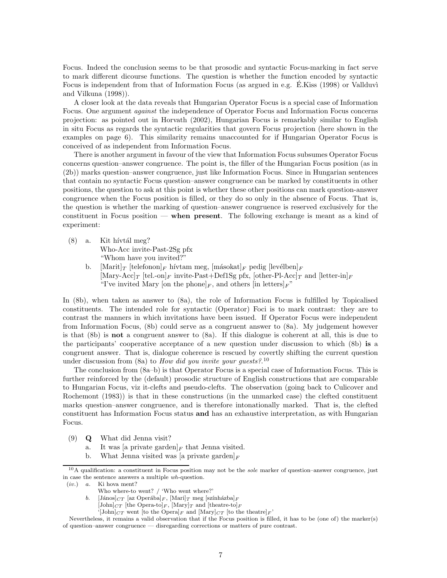Focus. Indeed the conclusion seems to be that prosodic and syntactic Focus-marking in fact serve to mark different dicourse functions. The question is whether the function encoded by syntactic Focus is independent from that of Information Focus (as argued in e.g. E.Kiss (1998) or Vallduvi and Vilkuna (1998)).

A closer look at the data reveals that Hungarian Operator Focus is a special case of Information Focus. One argument against the independence of Operator Focus and Information Focus concerns projection: as pointed out in Horvath (2002), Hungarian Focus is remarkably similar to English in situ Focus as regards the syntactic regularities that govern Focus projection (here shown in the examples on page 6). This similarity remains unaccounted for if Hungarian Operator Focus is conceived of as independent from Information Focus.

There is another argument in favour of the view that Information Focus subsumes Operator Focus concerns question–answer congruence. The point is, the filler of the Hungarian Focus position (as in (2b)) marks question–answer congruence, just like Information Focus. Since in Hungarian sentences that contain no syntactic Focus question–answer congruence can be marked by constituents in other positions, the question to ask at this point is whether these other positions can mark question-answer congruence when the Focus position is filled, or they do so only in the absence of Focus. That is, the question is whether the marking of question–answer congruence is reserved exclusively for the constituent in Focus position — when present. The following exchange is meant as a kind of experiment:

 $(8)$  a. Kit hívtál meg? Who-Acc invite-Past-2Sg pfx

"Whom have you invited?"

b.  $\left[\text{Marit}\right]_T$  [telefonon]<sub>F</sub> hívtam meg,  $\left[\text{m\'asokat}\right]_F$  pedig  $\left[\text{levelben}\right]_F$  $[\text{Mary-Acc}]_T$  [tel.-on]<sub>F</sub> invite-Past+Def1Sg pfx, [other-Pl-Acc]<sub>T</sub> and [letter-in]<sub>F</sub> "I've invited Mary [on the phone]<sub>F</sub>, and others [in letters]<sub>F</sub>"

In (8b), when taken as answer to (8a), the role of Information Focus is fulfilled by Topicalised constituents. The intended role for syntactic (Operator) Foci is to mark contrast: they are to contrast the manners in which invitations have been issued. If Operator Focus were independent from Information Focus, (8b) could serve as a congruent answer to (8a). My judgement however is that (8b) is not a congruent answer to (8a). If this dialogue is coherent at all, this is due to the participants' cooperative acceptance of a new question under discussion to which (8b) is a congruent answer. That is, dialogue coherence is rescued by covertly shifting the current question under discussion from (8a) to *How did you invite your guests*?.<sup>10</sup>

The conclusion from (8a–b) is that Operator Focus is a special case of Information Focus. This is further reinforced by the (default) prosodic structure of English constructions that are comparable to Hungarian Focus, viz it-clefts and pseudo-clefts. The observation (going back to Culicover and Rochemont (1983)) is that in these constructions (in the unmarked case) the clefted constituent marks question–answer congruence, and is therefore intonationally marked. That is, the clefted constituent has Information Focus status and has an exhaustive interpretation, as with Hungarian Focus.

- (9) Q What did Jenna visit?
	- a. It was [a private garden]<sub>F</sub> that Jenna visited.
	- b. What Jenna visited was [a private garden] $_F$

'[John] $_{CT}$  went [to the Opera]<sub>F</sub> and [Mary] $_{CT}$  [to the theatre]<sub>F</sub>'

 $10A$  qualification: a constituent in Focus position may not be the *sole* marker of question–answer congruence, just in case the sentence answers a multiple wh-question.

<sup>(</sup>iv.) a. Ki hova ment?

Who where-to went? / 'Who went where?'

b. [János] $_{CT}$  [az Operába] $_F$ , [Mari] $_T$  meg [színházba] $_F$ 

 $[John]_{CT}$  [the Opera-to]<sub>F</sub>, [Mary]<sub>T</sub> and [theatre-to]<sub>F</sub>

Nevertheless, it remains a valid observation that if the Focus position is filled, it has to be (one of) the marker(s) of question–answer congruence — disregarding corrections or matters of pure contrast.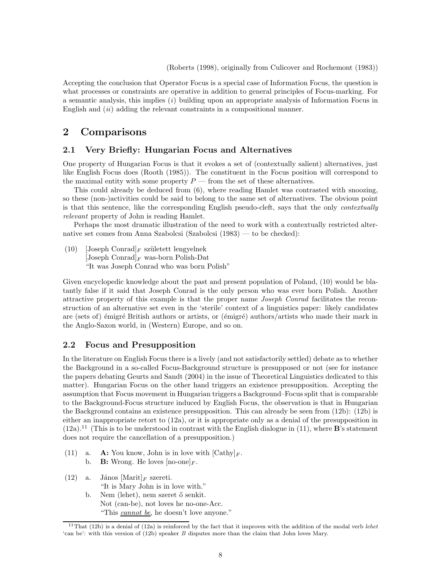(Roberts (1998), originally from Culicover and Rochemont (1983))

Accepting the conclusion that Operator Focus is a special case of Information Focus, the question is what processes or constraints are operative in addition to general principles of Focus-marking. For a semantic analysis, this implies  $(i)$  building upon an appropriate analysis of Information Focus in English and  $(ii)$  adding the relevant constraints in a compositional manner.

# 2 Comparisons

### 2.1 Very Briefly: Hungarian Focus and Alternatives

One property of Hungarian Focus is that it evokes a set of (contextually salient) alternatives, just like English Focus does (Rooth (1985)). The constituent in the Focus position will correspond to the maximal entity with some property  $P$  — from the set of these alternatives.

This could already be deduced from (6), where reading Hamlet was contrasted with snoozing, so these (non-)activities could be said to belong to the same set of alternatives. The obvious point is that this sentence, like the corresponding English pseudo-cleft, says that the only contextually relevant property of John is reading Hamlet.

Perhaps the most dramatic illustration of the need to work with a contextually restricted alternative set comes from Anna Szabolcsi (Szabolcsi (1983) — to be checked):

(10) [Joseph Conrad]<sub>F</sub> született lengyelnek [Joseph Conrad]<sub>F</sub> was-born Polish-Dat "It was Joseph Conrad who was born Polish"

Given encyclopedic knowledge about the past and present population of Poland, (10) would be blatantly false if it said that Joseph Conrad is the only person who was ever born Polish. Another attractive property of this example is that the proper name Joseph Conrad facilitates the reconstruction of an alternative set even in the 'sterile' context of a linguistics paper: likely candidates are (sets of) émigré British authors or artists, or (émigré) authors/artists who made their mark in the Anglo-Saxon world, in (Western) Europe, and so on.

### 2.2 Focus and Presupposition

In the literature on English Focus there is a lively (and not satisfactorily settled) debate as to whether the Background in a so-called Focus-Background structure is presupposed or not (see for instance the papers debating Geurts and Sandt (2004) in the issue of Theoretical Linguistics dedicated to this matter). Hungarian Focus on the other hand triggers an existence presupposition. Accepting the assumption that Focus movement in Hungarian triggers a Background–Focus split that is comparable to the Background-Focus structure induced by English Focus, the observation is that in Hungarian the Background contains an existence presupposition. This can already be seen from (12b): (12b) is either an inappropriate retort to  $(12a)$ , or it is appropriate only as a denial of the presupposition in  $(12a).<sup>11</sup>$  (This is to be understood in contrast with the English dialogue in (11), where **B**'s statement does not require the cancellation of a presupposition.)

- (11) a. A: You know, John is in love with  $[{\rm Cath}]_F$ . b. **B:** Wrong. He loves  $[no\text{-}one]_F$ .
- (12) a. János  $[\text{Marit}]_F$  szereti. "It is Mary John is in love with." b. Nem (lehet), nem szeret ő senkit. Not (can-be), not loves he no-one-Acc. "This cannot be, he doesn't love anyone."

<sup>&</sup>lt;sup>11</sup>That (12b) is a denial of (12a) is reinforced by the fact that it improves with the addition of the modal verb lehet 'can be': with this version of (12b) speaker B disputes more than the claim that John loves Mary.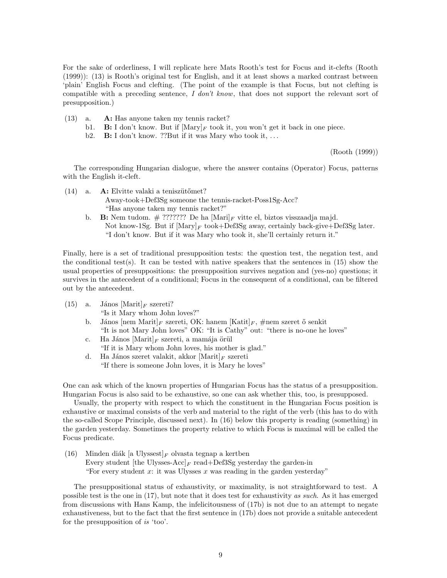For the sake of orderliness, I will replicate here Mats Rooth's test for Focus and it-clefts (Rooth (1999)): (13) is Rooth's original test for English, and it at least shows a marked contrast between 'plain' English Focus and clefting. (The point of the example is that Focus, but not clefting is compatible with a preceding sentence, I don't know, that does not support the relevant sort of presupposition.)

- (13) a. A: Has anyone taken my tennis racket?
	- b1. **B:** I don't know. But if  $[\text{Mary}]_F$  took it, you won't get it back in one piece.
	- b2. B: I don't know. ??But if it was Mary who took it, ...

(Rooth (1999))

The corresponding Hungarian dialogue, where the answer contains (Operator) Focus, patterns with the English it-cleft.

- (14) a.  $\mathbf{A}$ : Elvitte valaki a teniszütőmet? Away-took+Def3Sg someone the tennis-racket-Poss1Sg-Acc? "Has anyone taken my tennis racket?"
	- b. B: Nem tudom.  $#$  ??????? De ha [Mari]<sub>F</sub> vitte el, biztos visszaadja majd. Not know-1Sg. But if  $[Mary]_F$  took+Def3Sg away, certainly back-give+Def3Sg later. "I don't know. But if it was Mary who took it, she'll certainly return it."

Finally, here is a set of traditional presupposition tests: the question test, the negation test, and the conditional test(s). It can be tested with native speakers that the sentences in  $(15)$  show the usual properties of presuppositions: the presupposition survives negation and (yes-no) questions; it survives in the antecedent of a conditional; Focus in the consequent of a conditional, can be filtered out by the antecedent.

(15) a. János  $[\text{Marit}]_F$  szereti?

"Is it Mary whom John loves?"

- b. János [nem Marit]<sub>F</sub> szereti, OK: hanem [Katit]<sub>F</sub>, #nem szeret ő senkit "It is not Mary John loves" OK: "It is Cathy" out: "there is no-one he loves"
- c. Ha János  $[\text{Marit}]_F$  szereti, a mamája örül "If it is Mary whom John loves, his mother is glad."
- d. Ha János szeret valakit, akkor  $[Marit]_F$  szereti "If there is someone John loves, it is Mary he loves"

One can ask which of the known properties of Hungarian Focus has the status of a presupposition. Hungarian Focus is also said to be exhaustive, so one can ask whether this, too, is presupposed.

Usually, the property with respect to which the constituent in the Hungarian Focus position is exhaustive or maximal consists of the verb and material to the right of the verb (this has to do with the so-called Scope Principle, discussed next). In (16) below this property is reading (something) in the garden yesterday. Sometimes the property relative to which Focus is maximal will be called the Focus predicate.

(16) Minden diák [a Ulyssest] F olvasta tegnap a kertben Every student [the Ulysses-Acc]<sub>F</sub> read+Def3Sg yesterday the garden-in "For every student x: it was Ulysses x was reading in the garden vesterday"

The presuppositional status of exhaustivity, or maximality, is not straightforward to test. A possible test is the one in (17), but note that it does test for exhaustivity as such. As it has emerged from discussions with Hans Kamp, the infelicitousness of (17b) is not due to an attempt to negate exhaustiveness, but to the fact that the first sentence in (17b) does not provide a suitable antecedent for the presupposition of is 'too'.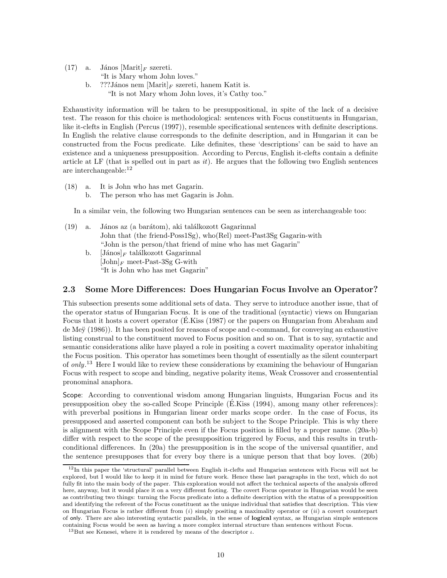(17) a. János  $[\text{Marit}]_F$  szereti.

"It is Mary whom John loves."

b. ???János nem  $[\text{Marit}]_F$  szereti, hanem Katit is. "It is not Mary whom John loves, it's Cathy too."

Exhaustivity information will be taken to be presuppositional, in spite of the lack of a decisive test. The reason for this choice is methodological: sentences with Focus constituents in Hungarian, like it-clefts in English (Percus (1997)), resemble specificational sentences with definite descriptions. In English the relative clause corresponds to the definite description, and in Hungarian it can be constructed from the Focus predicate. Like definites, these 'descriptions' can be said to have an existence and a uniqueness presupposition. According to Percus, English it-clefts contain a definite article at LF (that is spelled out in part as  $it$ ). He argues that the following two English sentences are interchangeable:<sup>12</sup>

- (18) a. It is John who has met Gagarin.
	- b. The person who has met Gagarin is John.

In a similar vein, the following two Hungarian sentences can be seen as interchangeable too:

- $(19)$  a. János az (a barátom), aki találkozott Gagarinnal John that (the friend-Poss1Sg), who(Rel) meet-Past3Sg Gagarin-with "John is the person/that friend of mine who has met Gagarin"
	- b.  $[János]_F$  találkozott Gagarinnal  $[John]_F$  meet-Past-3Sg G-with "It is John who has met Gagarin"

### 2.3 Some More Differences: Does Hungarian Focus Involve an Operator?

This subsection presents some additional sets of data. They serve to introduce another issue, that of the operator status of Hungarian Focus. It is one of the traditional (syntactic) views on Hungarian Focus that it hosts a covert operator (E.Kiss (1987) or the papers on Hungarian from Abraham and de Meÿ (1986)). It has been posited for reasons of scope and c-command, for conveying an exhaustive listing construal to the constituent moved to Focus position and so on. That is to say, syntactic and semantic considerations alike have played a role in positing a covert maximality operator inhabiting the Focus position. This operator has sometimes been thought of essentially as the silent counterpart of only.<sup>13</sup> Here I would like to review these considerations by examining the behaviour of Hungarian Focus with respect to scope and binding, negative polarity items, Weak Crossover and crossentential pronominal anaphora.

Scope: According to conventional wisdom among Hungarian linguists, Hungarian Focus and its presupposition obey the so-called Scope Principle (E.Kiss  $(1994)$ , among many other references): with preverbal positions in Hungarian linear order marks scope order. In the case of Focus, its presupposed and asserted component can both be subject to the Scope Principle. This is why there is alignment with the Scope Principle even if the Focus position is filled by a proper name. (20a-b) differ with respect to the scope of the presupposition triggered by Focus, and this results in truthconditional differences. In (20a) the presupposition is in the scope of the universal quantifier, and the sentence presupposes that for every boy there is a unique person that that boy loves. (20b)

<sup>&</sup>lt;sup>12</sup>In this paper the 'structural' parallel between English it-clefts and Hungarian sentences with Focus will not be explored, but I would like to keep it in mind for future work. Hence these last paragraphs in the text, which do not fully fit into the main body of the paper. This exploration would not affect the technical aspects of the analysis offered here, anyway, but it would place it on a very different footing. The covert Focus operator in Hungarian would be seen as contributing two things: turning the Focus predicate into a definite description with the status of a presupposition and identifying the referent of the Focus constituent as the unique individual that satisfies that description. This view on Hungarian Focus is rather different from  $(i)$  simply positing a maximality operator or  $(ii)$  a covert counterpart of only. There are also interesting syntactic parallels, in the sense of logical syntax, as Hungarian simple sentences containing Focus would be seen as having a more complex internal structure than sentences without Focus.

<sup>&</sup>lt;sup>13</sup>But see Kenesei, where it is rendered by means of the descriptor  $\iota$ .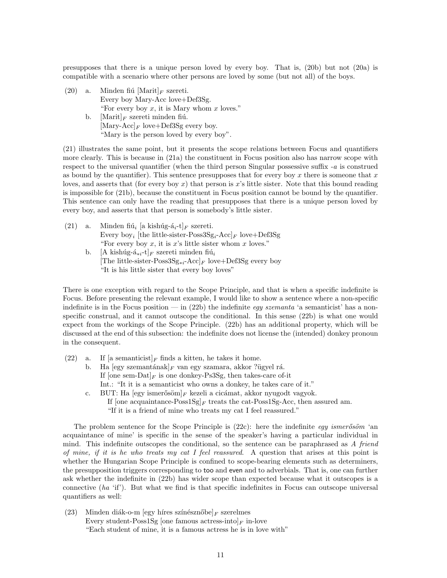presupposes that there is a unique person loved by every boy. That is, (20b) but not (20a) is compatible with a scenario where other persons are loved by some (but not all) of the boys.

- (20) a. Minden fiú  $[\text{Marit}]_F$  szereti. Every boy Mary-Acc love+Def3Sg. "For every boy  $x$ , it is Mary whom  $x$  loves." b.  $[\text{Marit}]_F$  szereti minden fiú.  $[\text{Mary-Acc}]_F$  love+Def3Sg every boy.
	- "Mary is the person loved by every boy".

(21) illustrates the same point, but it presents the scope relations between Focus and quantifiers more clearly. This is because in (21a) the constituent in Focus position also has narrow scope with respect to the universal quantifier (when the third person Singular possessive suffix -a is construed as bound by the quantifier). This sentence presupposes that for every boy x there is someone that  $x$ loves, and asserts that (for every boy x) that person is x's little sister. Note that this bound reading is impossible for (21b), because the constituent in Focus position cannot be bound by the quantifier. This sentence can only have the reading that presupposes that there is a unique person loved by every boy, and asserts that that person is somebody's little sister.

- (21) a. Minden fiú<sub>i</sub> [a kishúg-á<sub>i</sub>-t]<sub>F</sub> szereti. Every boy<sub>i</sub> [the little-sister-Poss3Sg<sub>i</sub>-Acc]<sub>F</sub> love+Def3Sg "For every boy  $x$ , it is  $x$ 's little sister whom  $x$  loves." b. [A kishúg-á<sub>\*i</sub>-t]<sub>F</sub> szereti minden fiú<sub>i</sub>
	- [The little-sister-Poss $3Sg_{*i}$ -Acc]<sub>F</sub> love+Def3Sg every boy "It is his little sister that every boy loves"

There is one exception with regard to the Scope Principle, and that is when a specific indefinite is Focus. Before presenting the relevant example, I would like to show a sentence where a non-specific indefinite is in the Focus position — in  $(22b)$  the indefinite egy szemanta 'a semanticist' has a nonspecific construal, and it cannot outscope the conditional. In this sense (22b) is what one would expect from the workings of the Scope Principle. (22b) has an additional property, which will be discussed at the end of this subsection: the indefinite does not license the (intended) donkey pronoun in the consequent.

- (22) a. If [a semanticist]<sub>F</sub> finds a kitten, he takes it home.
	- b. Ha  $[egy$  szemantának]<sub>F</sub> van egy szamara, akkor ?ügyel rá. If  $[one sem-Dat]_F$  is one donkey-Ps3Sg, then takes-care of-it Int.: "It it is a semanticist who owns a donkey, he takes care of it." c. BUT: Ha  $[egy]$  ismerősöm $]_F$  kezeli a cicámat, akkor nyugodt vagyok.
		- If [one acquaintance-Poss1Sg]<sub>F</sub> treats the cat-Poss1Sg-Acc, then assured am. "If it is a friend of mine who treats my cat I feel reassured."

The problem sentence for the Scope Principle is  $(22c)$ : here the indefinite egy ismerosom 'an acquaintance of mine' is specific in the sense of the speaker's having a particular individual in mind. This indefinite outscopes the conditional, so the sentence can be paraphrased as  $A$  friend of mine, if it is he who treats my cat I feel reassured. A question that arises at this point is whether the Hungarian Scope Principle is confined to scope-bearing elements such as determiners, the presupposition triggers corresponding to too and even and to adverbials. That is, one can further ask whether the indefinite in (22b) has wider scope than expected because what it outscopes is a connective  $(ha \text{ 'if'})$ . But what we find is that specific indefinites in Focus can outscope universal quantifiers as well:

(23) Minden diák-o-m [egy híres színésznőbe]  $_F$  szerelmes Every student-Poss1Sg [one famous actress-into] $_F$  in-love "Each student of mine, it is a famous actress he is in love with"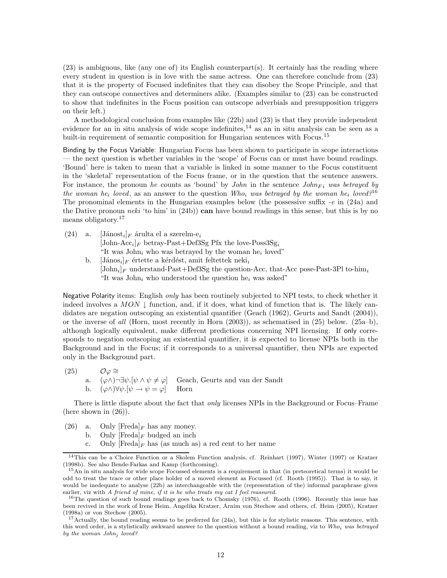(23) is ambiguous, like (any one of) its English counterpart(s). It certainly has the reading where every student in question is in love with the same actress. One can therefore conclude from (23) that it is the property of Focused indefinites that they can disobey the Scope Principle, and that they can outscope connectives and determiners alike. (Examples similar to (23) can be constructed to show that indefinites in the Focus position can outscope adverbials and presupposition triggers on their left.)

A methodological conclusion from examples like (22b) and (23) is that they provide independent evidence for an in situ analysis of wide scope indefinites, $14$  as an in situ analysis can be seen as a built-in requirement of semantic composition for Hungarian sentences with Focus.<sup>15</sup>

Binding by the Focus Variable: Hungarian Focus has been shown to participate in scope interactions — the next question is whether variables in the 'scope' of Focus can or must have bound readings. 'Bound' here is taken to mean that a variable is linked in some manner to the Focus constituent in the 'skeletal' representation of the Focus frame, or in the question that the sentence answers. For instance, the pronoun he counts as 'bound' by *John* in the sentence  $John_{Fi}$  was betrayed by the woman he<sub>i</sub> loved, as an answer to the question Who<sub>i</sub> was betrayed by the woman he<sub>i</sub> loved?<sup>16</sup> The pronominal elements in the Hungarian examples below (the possessive suffix  $-e$  in (24a) and the Dative pronoun neki 'to him' in  $(24b)$ ) can have bound readings in this sense, but this is by no means obligatory. 17

 $(24)$  a.  $[\text{Jánost}_i]_F$  árulta el a szerelm-e<sub>i</sub> [John-Acc<sub>i</sub>]<sub>F</sub> betray-Past+Def3Sg Pfx the love-Poss3Sg<sub>i</sub> "It was  $John_i$  who was betrayed by the woman he<sub>i</sub> loved" b. [János<sub>i</sub>]<sub>F</sub> értette a kérdést, amit feltettek neki<sub>i</sub> [John<sub>i</sub>]<sub>F</sub> understand-Past+Def3Sg the question-Acc, that-Acc pose-Past-3Pl to-him<sub>i</sub> "It was John<sub>i</sub> who understood the question he<sub>i</sub> was asked"

Negative Polarity items: English only has been routinely subjected to NPI tests, to check whether it indeed involves a MON  $\downarrow$  function, and, if it does, what kind of function that is. The likely candidates are negation outscoping an existential quantifier (Geach (1962), Geurts and Sandt (2004)), or the inverse of all (Horn, most recently in Horn  $(2003)$ ), as schematised in  $(25)$  below.  $(25a-b)$ , although logically equivalent, make different predictions concerning NPI licensing. If only corresponds to negation outscoping an existential quantifier, it is expected to license NPIs both in the Background and in the Focus; if it corresponds to a universal quantifier, then NPIs are expected only in the Background part.

(25)  $\mathcal{O}\varphi \cong$ a.  $(\varphi \wedge \neg \exists \psi. [\psi \wedge \psi \neq \varphi]$  Geach, Geurts and van der Sandt b.  $(\varphi \wedge \forall \psi . [\psi \rightarrow \psi = \varphi]$  Horn

There is little dispute about the fact that only licenses NPIs in the Background or Focus–Frame (here shown in (26)).

- (26) a. Only  $[Fred]_F$  has any money.
	- b. Only  $[\text{Fred}]_F$  budged an inch
	- c. Only  $[Fred]_F$  has (as much as) a red cent to her name

<sup>14</sup>This can be a Choice Function or a Skolem Function analysis, cf. Reinhart (1997), Winter (1997) or Kratzer (1998b). See also Bende-Farkas and Kamp (forthcoming).

<sup>&</sup>lt;sup>15</sup>An in situ analysis for wide scope Focussed elements is a requirement in that (in preteoretical terms) it would be odd to treat the trace or other place holder of a moved element as Focussed (cf. Rooth (1995)). That is to say, it would be inedequate to analyse (22b) as interchangeable with the (representation of the) informal paraphrase given earlier, viz with A friend of mine, if it is he who treats my cat I feel reassured.

<sup>&</sup>lt;sup>16</sup>The question of such bound readings goes back to Chomsky (1976), cf. Rooth (1996). Recently this issue has been revived in the work of Irene Heim, Angelika Kratzer, Arnim von Stechow and others, cf. Heim (2005), Kratzer (1998a) or von Stechow (2005).

 $17$ Actually, the bound reading seems to be preferred for (24a), but this is for stylistic reasons. This sentence, with this word order, is a stylistically awkward answer to the question without a bound reading, viz to  $Who_i$  was betrayed by the woman John<sub>i</sub> loved?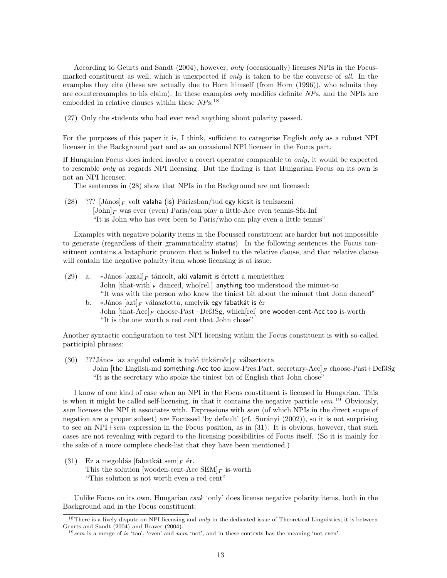According to Geurts and Sandt (2004), however, only (occasionally) licenses NPIs in the Focusmarked constituent as well, which is unexpected if only is taken to be the converse of all. In the examples they cite (these are actually due to Horn himself (from Horn (1996)), who admits they are counterexamples to his claim). In these examples only modifies definite NPs, and the NPIs are embedded in relative clauses within these  $NPs$ <sup>18</sup>

(27) Only the students who had ever read anything about polarity passed.

For the purposes of this paper it is, I think, sufficient to categorise English *only* as a robust NPI licenser in the Background part and as an occasional NPI licenser in the Focus part.

If Hungarian Focus does indeed involve a covert operator comparable to only, it would be expected to resemble only as regards NPI licensing. But the finding is that Hungarian Focus on its own is not an NPI licenser.

The sentences in (28) show that NPIs in the Background are not licensed:

(28) ??? [János]<sub>F</sub> volt valaha (is) Párizsban/tud egy kicsit is teniszezni  $[John]_F$  was ever (even) Paris/can play a little-Acc even tennis-Sfx-Inf "It is John who has ever been to Paris/who can play even a little tennis"

Examples with negative polarity items in the Focussed constituent are harder but not impossible to generate (regardless of their grammaticality status). In the following sentences the Focus constituent contains a kataphoric pronoun that is linked to the relative clause, and that relative clause will contain the negative polarity item whose licensing is at issue:

- (29) a. ∗János  $\left[\text{azzal}\right]_F$  táncolt, aki valamit is értett a menüetthez John  $[\text{that-with}]_F$  danced, who rel. anything too understood the minuet-to "It was with the person who knew the tiniest bit about the minuet that John danced"
	- b.  $\ast$ János [azt]<sub>F</sub> választotta, amelyik egy fabatkát is ér John  $[that-Acc]_F$  choose-Past+Def3Sg, which [rel] one wooden-cent-Acc too is-worth "It is the one worth a red cent that John chose"

Another syntactic configuration to test NPI licensing within the Focus constituent is with so-called participial phrases:

(30) ???János [az angolul valamit is tudó titkárnőt]F választotta John [the English-md something-Acc too know-Pres.Part. secretary-Acc] $_F$  choose-Past+Def3Sg "It is the secretary who spoke the tiniest bit of English that John chose"

I know of one kind of case when an NPI in the Focus constituent is licensed in Hungarian. This is when it might be called self-licensing, in that it contains the negative particle  $sem.$ <sup>19</sup> Obviously, sem licenses the NPI it associates with. Expressions with sem (of which NPIs in the direct scope of negation are a proper subset) are Focussed 'by default' (cf. Surányi (2002)), so it is not surprising to see an NPI $+sem$  expression in the Focus position, as in (31). It is obvious, however, that such cases are not revealing with regard to the licensing possibilities of Focus itself. (So it is mainly for the sake of a more complete check-list that they have been mentioned.)

(31) Ez a megoldás [fabatkát sem] $_F$  ér. This the solution [wooden-cent-Acc  $\text{SEM}|_F$  is-worth "This solution is not worth even a red cent"

Unlike Focus on its own, Hungarian csak 'only' does license negative polarity items, both in the Background and in the Focus constituent:

 $18$ There is a lively dispute on NPI licensing and *only* in the dedicated issue of Theoretical Linguistics; it is between Geurts and Sandt (2004) and Beaver (2004).

 $19$ sem is a merge of is 'too', 'even' and nem 'not', and in these contexts has the meaning 'not even'.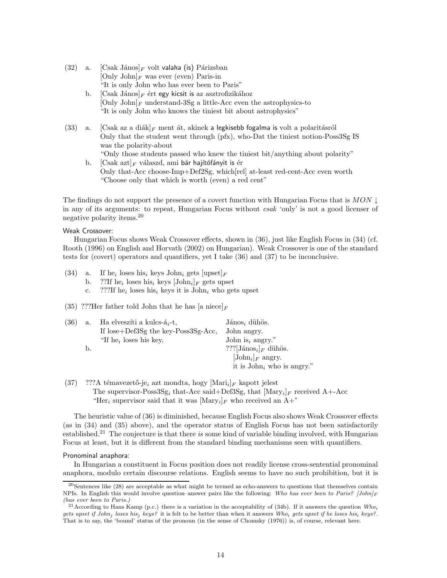- (32) a.  $[\text{Csak János}]_F$  volt valaha (is) Párizsban  $[Only John]_F$  was ever (even) Paris-in "It is only John who has ever been to Paris"
	- b.  $[\text{Csak János}]_F$  ért egy kicsit is az asztrofizikához  $[Only John]_F$  understand-3Sg a little-Acc even the astrophysics-to "It is only John who knows the tiniest bit about astrophysics"
- (33) a.  $[Csak az a diák]_F$  ment át, akinek a legkisebb fogalma is volt a polaritásról Only that the student went through (pfx), who-Dat the tiniest notion-Poss3Sg IS was the polarity-about "Only those students passed who knew the tiniest bit/anything about polarity"
	- b.  $[Csak azt]<sub>F</sub> válaszd, ami bár hajítófányit is ér$ Only that-Acc choose-Imp+Def2Sg, which[rel] at-least red-cent-Acc even worth "Choose only that which is worth (even) a red cent"

The findings do not support the presence of a covert function with Hungarian Focus that is  $MON \perp$ in any of its arguments: to repeat, Hungarian Focus without csak 'only' is not a good licenser of negative polarity items.<sup>20</sup>

#### Weak Crossover:

Hungarian Focus shows Weak Crossover effects, shown in (36), just like English Focus in (34) (cf. Rooth (1996) on English and Horvath (2002) on Hungarian). Weak Crossover is one of the standard tests for (covert) operators and quantifiers, yet I take (36) and (37) to be inconclusive.

- $(34)$  a. If he<sub>i</sub> loses his<sub>i</sub> keys John<sub>i</sub> gets  $[\text{upset}]_F$ 
	- b. ??If he<sub>i</sub> loses his<sub>i</sub> keys  $[\text{John}_i]_F$  gets upset
	- c. ???If he<sub>i</sub> loses his<sub>i</sub> keys it is John<sub>i</sub> who gets upset
- (35) ???Her father told John that he has [a niece]<sub>F</sub>

| (36) | a. | Ha elveszíti a kulcs-á <sub>i</sub> -t, | János <sub>i</sub> dihös.            |
|------|----|-----------------------------------------|--------------------------------------|
|      |    | If lose+Def3Sg the key-Poss3Sg-Acc,     | John angry.                          |
|      |    | "If he <sub>i</sub> loses his key,      | John is <sub>i</sub> angry."         |
|      | b. |                                         | ???[János <sub>i</sub> ] $_F$ dühös. |
|      |    |                                         | $[John_i]_F$ angry.                  |
|      |    |                                         | it is $John_i$ who is angry."        |

(37) ???A témavezető-je<sub>i</sub> azt mondta, hogy  $[\text{Mari}_i]_F$  kapott jelest The supervisor- $Poss3Sg_i$  that-Acc said+Def3Sg, that  $[Mary_i]_F$  received A+-Acc "Her<sub>i</sub> supervisor said that it was  $[\text{Mary}_i]_F$  who received an A+"

The heuristic value of (36) is diminished, because English Focus also shows Weak Crossover effects (as in (34) and (35) above), and the operator status of English Focus has not been satisfactorily established.<sup>21</sup> The conjecture is that there is some kind of variable binding involved, with Hungarian Focus at least, but it is different from the standard binding mechanisms seen with quantifiers.

#### Pronominal anaphora:

In Hungarian a constituent in Focus position does not readily license cross-sentential pronominal anaphora, modulo certain discourse relations. English seems to have no such prohibition, but it is

 $^{20}$ Sentences like (28) are acceptable as what might be termed as echo-answers to questions that themselves contain NPIs. In English this would involve question–answer pairs like the following: Who has ever been to Paris?  $[John]_F$ (has ever been to Paris.)

<sup>&</sup>lt;sup>21</sup> According to Hans Kamp (p.c.) there is a variation in the acceptability of (34b). If it answers the question  $Who_i$ gets upset if John<sub>j</sub> loses his<sub>j</sub> keys? it is felt to be better than when it answers Who<sub>i</sub> gets upset if he loses his<sub>i</sub> keys?. That is to say, the 'bound' status of the pronoun (in the sense of Chomsky (1976)) is, of course, relevant here.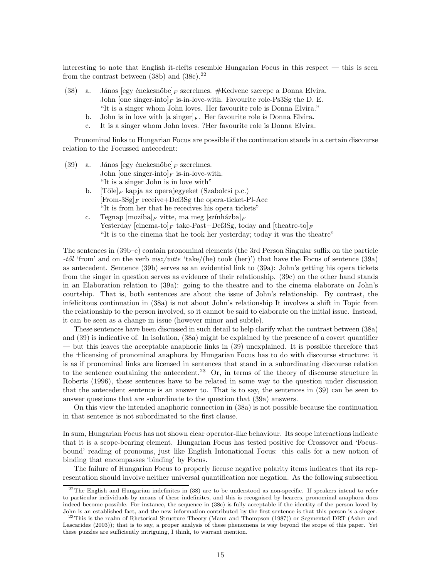interesting to note that English it-clefts resemble Hungarian Focus in this respect — this is seen from the contrast between (38b) and (38c).<sup>22</sup>

- (38) a. János  $[egy \text{ énekesnőbe}]$  szerelmes. #Kedvenc szerepe a Donna Elvira. John [one singer-into] $_F$  is-in-love-with. Favourite role-Ps3Sg the D. E. "It is a singer whom John loves. Her favourite role is Donna Elvira."
	- b. John is in love with [a singer] $_F$ . Her favourite role is Donna Elvira.
	- c. It is a singer whom John loves. ?Her favourite role is Donna Elvira.

Pronominal links to Hungarian Focus are possible if the continuation stands in a certain discourse relation to the Focussed antecedent:

- (39) a. János  $[egy \text{ énekesnőbe}]_F$  szerelmes. John [one singer-into]<sub>F</sub> is-in-love-with. "It is a singer John is in love with"
	- b.  $[Tőle]_F$  kapja az operajegyeket (Szabolcsi p.c.)  $[From-3Sg]_F$  receive+Def3Sg the opera-ticket-Pl-Acc "It is from her that he rececives his opera tickets"
	- c. Tegnap  $[moziba]_F$  vitte, ma meg  $[színházba]_F$ Yesterday [cinema-to]<sub>F</sub> take-Past+Def3Sg, today and [theatre-to]<sub>F</sub> "It is to the cinema that he took her yesterday; today it was the theatre"

The sentences in (39b–c) contain pronominal elements (the 3rd Person Singular suffix on the particle  $-t\delta l$  'from' and on the verb  $visz/vitte$  'take/(he) took (her)') that have the Focus of sentence (39a) as antecedent. Sentence (39b) serves as an evidential link to (39a): John's getting his opera tickets from the singer in question serves as evidence of their relationship. (39c) on the other hand stands in an Elaboration relation to (39a): going to the theatre and to the cinema elaborate on John's courtship. That is, both sentences are about the issue of John's relationship. By contrast, the infelicitous continuation in (38a) is not about John's relationship It involves a shift in Topic from the relationship to the person involved, so it cannot be said to elaborate on the initial issue. Instead, it can be seen as a change in issue (however minor and subtle).

These sentences have been discussed in such detail to help clarify what the contrast between (38a) and (39) is indicative of. In isolation, (38a) might be explained by the presence of a covert quantifier — but this leaves the acceptable anaphoric links in (39) unexplained. It is possible therefore that the ±licensing of pronominal anaphora by Hungarian Focus has to do with discourse structure: it is as if pronominal links are licensed in sentences that stand in a subordinating discourse relation to the sentence containing the antecedent.<sup>23</sup> Or, in terms of the theory of discourse structure in Roberts (1996), these sentences have to be related in some way to the question under discussion that the antecedent sentence is an answer to. That is to say, the sentences in (39) can be seen to answer questions that are subordinate to the question that (39a) answers.

On this view the intended anaphoric connection in (38a) is not possible because the continuation in that sentence is not subordinated to the first clause.

In sum, Hungarian Focus has not shown clear operator-like behaviour. Its scope interactions indicate that it is a scope-bearing element. Hungarian Focus has tested positive for Crossover and 'Focusbound' reading of pronouns, just like English Intonational Focus: this calls for a new notion of binding that encompasses 'binding' by Focus.

The failure of Hungarian Focus to properly license negative polarity items indicates that its representation should involve neither universal quantification nor negation. As the following subsection

 $22$ The English and Hungarian indefinites in  $(38)$  are to be understood as non-specific. If speakers intend to refer to particular individuals by means of these indefinites, and this is recognised by hearers, pronominal anaphora does indeed become possible. For instance, the sequence in (38c) is fully acceptable if the identity of the person loved by John is an established fact, and the new information contributed by the first sentence is that this person is a singer.

 $^{23}$ This is the realm of Rhetorical Structure Theory (Mann and Thompson (1987)) or Segmented DRT (Asher and Lascarides (2003)); that is to say, a proper analysis of these phenomena is way beyond the scope of this paper. Yet these puzzles are sufficiently intriguing, I think, to warrant mention.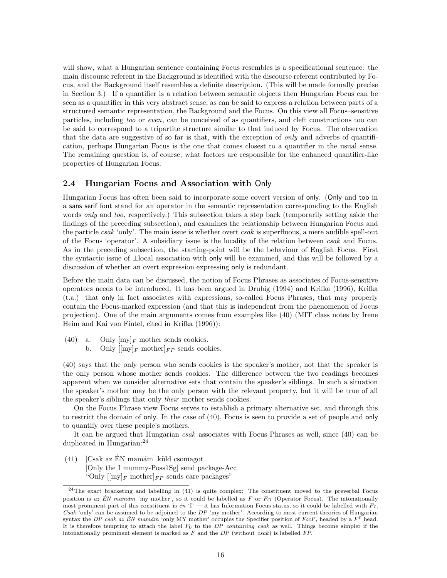will show, what a Hungarian sentence containing Focus resembles is a specificational sentence: the main discourse referent in the Background is identified with the discourse referent contributed by Focus, and the Background itself resembles a definite description. (This will be made formally precise in Section 3.) If a quantifier is a relation between semantic objects then Hungarian Focus can be seen as a quantifier in this very abstract sense, as can be said to express a relation between parts of a structured semantic representation, the Background and the Focus. On this view all Focus–sensitive particles, including too or even, can be conceived of as quantifiers, and cleft constructions too can be said to correspond to a tripartite structure similar to that induced by Focus. The observation that the data are suggestive of so far is that, with the exception of *only* and adverbs of quantification, perhaps Hungarian Focus is the one that comes closest to a quantifier in the usual sense. The remaining question is, of course, what factors are responsible for the enhanced quantifier-like properties of Hungarian Focus.

### 2.4 Hungarian Focus and Association with Only

Hungarian Focus has often been said to incorporate some covert version of only. (Only and too in a sans serif font stand for an operator in the semantic representation corresponding to the English words *only* and *too*, respectively.) This subsection takes a step back (temporarily setting aside the findings of the preceding subsection), and examines the relationship between Hungarian Focus and the particle *csak* 'only'. The main issue is whether overt *csak* is superfluous, a mere audible spell-out of the Focus 'operator'. A subsidiary issue is the locality of the relation between csak and Focus. As in the preceding subsection, the starting-point will be the behaviour of English Focus. First the syntactic issue of ±local association with only will be examined, and this will be followed by a discussion of whether an overt expression expressing only is redundant.

Before the main data can be discussed, the notion of Focus Phrases as associates of Focus-sensitive operators needs to be introduced. It has been argued in Drubig (1994) and Krifka (1996), Krifka (t.a.) that only in fact associates with expressions, so-called Focus Phrases, that may properly contain the Focus-marked expression (and that this is independent from the phenomenon of Focus projection). One of the main arguments comes from examples like (40) (MIT class notes by Irene Heim and Kai von Fintel, cited in Krifka (1996)):

- (40) a. Only  $[my]_F$  mother sends cookies.
	- b. Only  $\left[\text{my}\right]_F$  mother $\left|_F P$  sends cookies.

(40) says that the only person who sends cookies is the speaker's mother, not that the speaker is the only person whose mother sends cookies. The difference between the two readings becomes apparent when we consider alternative sets that contain the speaker's siblings. In such a situation the speaker's mother may be the only person with the relevant property, but it will be true of all the speaker's siblings that only their mother sends cookies.

On the Focus Phrase view Focus serves to establish a primary alternative set, and through this to restrict the domain of only. In the case of (40), Focus is seen to provide a set of people and only to quantify over these people's mothers.

It can be argued that Hungarian csak associates with Focus Phrases as well, since (40) can be duplicated in Hungarian:<sup>24</sup>

 $(41)$  [Csak az ÉN mamám] küld csomagot [Only the I mummy-Poss1Sg] send package-Acc "Only  $\lbrack \lbrack \text{my} \rbrack_F$  mother  $\rbrack_F$  sends care packages"

<sup>&</sup>lt;sup>24</sup>The exact bracketing and labelling in (41) is quite complex: The constituent moved to the preverbal Focus position is az ÉN´ mamám 'my mother', so it could be labelled as F or  $F<sub>O</sub>$  (Operator Focus). The intonationally most prominent part of this constituent is  $\epsilon n$  'I' — it has Information Focus status, so it could be labelled with  $F_I$ . Csak 'only' can be assumed to be adjoined to the  $DP$  'my mother'. According to most current theories of Hungarian syntax the DP csak az ÉN mamám 'only MY mother' occupies the Specifier position of FocP, headed by a  $F^0$  head. It is therefore tempting to attach the label  $F_0$  to the DP containing csak as well. Things become simpler if the intonationally prominent element is marked as  $F$  and the  $DP$  (without csak) is labelled  $FP$ .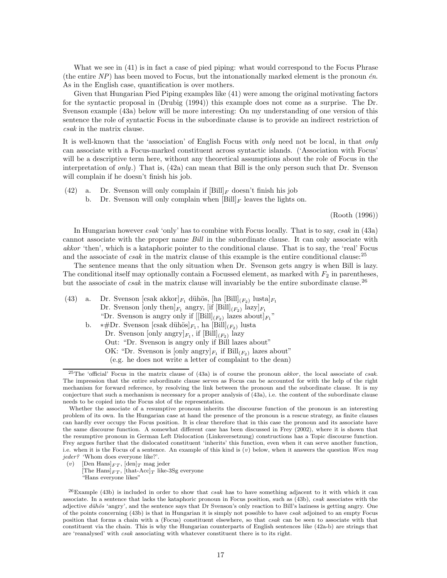What we see in (41) is in fact a case of pied piping: what would correspond to the Focus Phrase (the entire  $NP$ ) has been moved to Focus, but the intonationally marked element is the pronoun  $én$ . As in the English case, quantification is over mothers.

Given that Hungarian Pied Piping examples like (41) were among the original motivating factors for the syntactic proposal in (Drubig (1994)) this example does not come as a surprise. The Dr. Svenson example (43a) below will be more interesting: On my understanding of one version of this sentence the role of syntactic Focus in the subordinate clause is to provide an indirect restriction of csak in the matrix clause.

It is well-known that the 'association' of English Focus with only need not be local, in that only can associate with a Focus-marked constituent across syntactic islands. ('Association with Focus' will be a descriptive term here, without any theoretical assumptions about the role of Focus in the interpretation of only.) That is, (42a) can mean that Bill is the only person such that Dr. Svenson will complain if he doesn't finish his job.

- (42) a. Dr. Svenson will only complain if  $[\text{Bill}]_F$  doesn't finish his job
	- b. Dr. Svenson will only complain when  $[\text{Bill}]_F$  leaves the lights on.

(Rooth (1996))

In Hungarian however csak 'only' has to combine with Focus locally. That is to say, csak in (43a) cannot associate with the proper name Bill in the subordinate clause. It can only associate with akkor 'then', which is a kataphoric pointer to the conditional clause. That is to say, the 'real' Focus and the associate of *csak* in the matrix clause of this example is the entire conditional clause:<sup>25</sup>

The sentence means that the only situation when Dr. Svenson gets angry is when Bill is lazy. The conditional itself may optionally contain a Focussed element, as marked with  $F_2$  in parentheses, but the associate of *csak* in the matrix clause will invariably be the entire subordinate clause.<sup>26</sup>

(43) a. Dr. Svenson [csak akkor] $F_1$  dühös, [ha [Bill] $(F_2)$  lusta] $F_1$ Dr. Svenson  $[\text{only then}]_{F_1}$  angry,  $[\text{if }[\text{Bill}]_{(F_2)}$  lazy $]_{F_1}$ "Dr. Svenson is angry only if  $[[Bill]_{(F_2)}$  lazes about  $]_{F_1}$ " b. \*#Dr. Svenson [csak dühös] $F_1$ , ha  $[\text{Bill}]_{(F_2)}$  lusta Dr. Svenson [only angry] $_{F_1}$ , if  $[\text{Bill}]_{(F_2)}$  lazy Out: "Dr. Svenson is angry only if Bill lazes about" OK: "Dr. Svenson is  $[\text{only}\; \text{angry}]_{F_1}$  if  $\text{Bill}_{(F_2)}$  lazes about"

(v) [Den Hans $|_{FT}$ , [den] $_T$  mag jeder

[The Hans] $_{FT}$ , [that-Acc] $_T$  like-3Sg everyone "Hans everyone likes"

<sup>(</sup>e.g. he does not write a letter of complaint to the dean)

<sup>&</sup>lt;sup>25</sup>The 'official' Focus in the matrix clause of (43a) is of course the pronoun akkor, the local associate of csak. The impression that the entire subordinate clause serves as Focus can be accounted for with the help of the right mechanism for forward reference, by resolving the link between the pronoun and the subordinate clause. It is my conjecture that such a mechanism is necessary for a proper analysis of (43a), i.e. the content of the subordinate clause needs to be copied into the Focus slot of the representation.

Whether the associate of a resumptive pronoun inherits the discourse function of the pronoun is an interesting problem of its own. In the Hungarian case at hand the presence of the pronoun is a rescue strategy, as finite clauses can hardly ever occupy the Focus position. It is clear therefore that in this case the pronoun and its associate have the same discourse function. A somewhat different case has been discussed in Frey (2002), where it is shown that the resumptive pronoun in German Left Dislocation (Linksversetzung) constructions has a Topic discourse function. Frey argues further that the dislocated constituent 'inherits' this function, even when it can serve another function, i.e. when it is the Focus of a sentence. An example of this kind is  $(v)$  below, when it answers the question Wen mag jeder? 'Whom does everyone like?'.

 $^{26}$ Example (43b) is included in order to show that *csak* has to have something adjacent to it with which it can associate. In a sentence that lacks the kataphoric pronoun in Focus position, such as (43b), csak associates with the adjective duhös 'angry', and the sentence says that Dr Svenson's only reaction to Bill's laziness is getting angry. One of the points concerning (43b) is that in Hungarian it is simply not possible to have csak adjoined to an empty Focus position that forms a chain with a (Focus) constituent elsewhere, so that csak can be seen to associate with that constituent via the chain. This is why the Hungarian counterparts of English sentences like (42a-b) are strings that are 'reanalysed' with csak associating with whatever constituent there is to its right.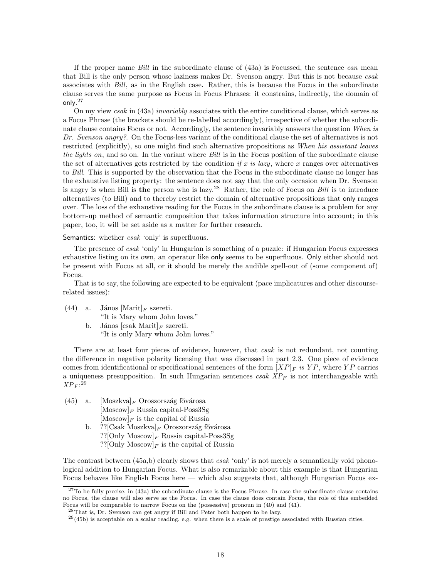If the proper name  $Bill$  in the subordinate clause of  $(43a)$  is Focussed, the sentence can mean that Bill is the only person whose laziness makes Dr. Svenson angry. But this is not because csak associates with Bill, as in the English case. Rather, this is because the Focus in the subordinate clause serves the same purpose as Focus in Focus Phrases: it constrains, indirectly, the domain of only. $^{27}$ 

On my view csak in (43a) invariably associates with the entire conditional clause, which serves as a Focus Phrase (the brackets should be re-labelled accordingly), irrespective of whether the subordinate clause contains Focus or not. Accordingly, the sentence invariably answers the question When is Dr. Svenson angry?. On the Focus-less variant of the conditional clause the set of alternatives is not restricted (explicitly), so one might find such alternative propositions as When his assistant leaves the lights on, and so on. In the variant where Bill is in the Focus position of the subordinate clause the set of alternatives gets restricted by the condition if x is lazy, where x ranges over alternatives to Bill. This is supported by the observation that the Focus in the subordinate clause no longer has the exhaustive listing property: the sentence does not say that the only occasion when Dr. Svenson is angry is when Bill is the person who is lazy.<sup>28</sup> Rather, the role of Focus on *Bill* is to introduce alternatives (to Bill) and to thereby restrict the domain of alternative propositions that only ranges over. The loss of the exhaustive reading for the Focus in the subordinate clause is a problem for any bottom-up method of semantic composition that takes information structure into account; in this paper, too, it will be set aside as a matter for further research.

Semantics: whether csak 'only' is superfluous.

The presence of csak 'only' in Hungarian is something of a puzzle: if Hungarian Focus expresses exhaustive listing on its own, an operator like only seems to be superfluous. Only either should not be present with Focus at all, or it should be merely the audible spell-out of (some component of) Focus.

That is to say, the following are expected to be equivalent (pace implicatures and other discourserelated issues):

- (44) a. János  $[\text{Marit}]_F$  szereti. "It is Mary whom John loves."
	- b. János [csak Marit] $_F$  szereti. "It is only Mary whom John loves."

There are at least four pieces of evidence, however, that csak is not redundant, not counting the difference in negative polarity licensing that was discussed in part 2.3. One piece of evidence comes from identificational or specificational sentences of the form  $|XP|_F$  is  $YP$ , where  $YP$  carries a uniqueness presupposition. In such Hungarian sentences  $csak$   $XP_F$  is not interchangeable with  $XP_F$ :<sup>29</sup>

(45) a.  $[Moszkva]_F$  Oroszország fővárosa  $[Moscow]_F$  Russia capital-Poss3Sg  $[Moscow]_F$  is the capital of Russia b. ??[Csak Moszkva] $_F$  Oroszország fővárosa ??[Only Moscow] $_F$  Russia capital-Poss3Sg ??[Only Moscow] $_F$  is the capital of Russia

The contrast between (45a,b) clearly shows that *csak* 'only' is not merely a semantically void phonological addition to Hungarian Focus. What is also remarkable about this example is that Hungarian Focus behaves like English Focus here — which also suggests that, although Hungarian Focus ex-

 $^{27}$ To be fully precise, in (43a) the subordinate clause is the Focus Phrase. In case the subordinate clause contains no Focus, the clause will also serve as the Focus. In case the clause does contain Focus, the role of this embedded Focus will be comparable to narrow Focus on the (possessive) pronoun in (40) and (41).

<sup>28</sup>That is, Dr. Svenson can get angry if Bill and Peter both happen to be lazy.

 $29(45b)$  is acceptable on a scalar reading, e.g. when there is a scale of prestige associated with Russian cities.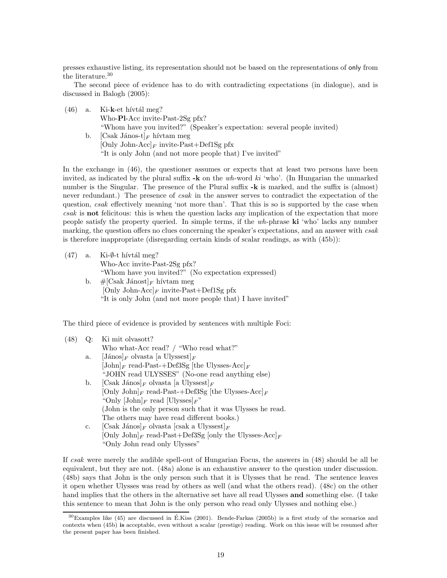presses exhaustive listing, its representation should not be based on the representations of only from the literature.<sup>30</sup>

The second piece of evidence has to do with contradicting expectations (in dialogue), and is discussed in Balogh (2005):

 $(46)$  a. Ki-k-et hívtál meg? Who-Pl-Acc invite-Past-2Sg pfx? "Whom have you invited?" (Speaker's expectation: several people invited) b. [Csak János-t] $_F$  hívtam meg [Only John-Acc]<sub>F</sub> invite-Past+Def1Sg pfx "It is only John (and not more people that) I've invited"

In the exchange in (46), the questioner assumes or expects that at least two persons have been invited, as indicated by the plural suffix  $-k$  on the wh-word ki 'who'. (In Hungarian the unmarked number is the Singular. The presence of the Plural suffix  $-k$  is marked, and the suffix is (almost) never redundant.) The presence of csak in the answer serves to contradict the expectation of the question, csak effectively meaning 'not more than'. That this is so is supported by the case when csak is not felicitous: this is when the question lacks any implication of the expectation that more people satisfy the property queried. In simple terms, if the wh-phrase ki 'who' lacks any number marking, the question offers no clues concerning the speaker's expectations, and an answer with *csak* is therefore inappropriate (disregarding certain kinds of scalar readings, as with (45b)):

|    | $(47)$ a. Ki- $\emptyset$ -t hívtál meg?                    |
|----|-------------------------------------------------------------|
|    | Who-Acc invite-Past- $2Sg$ pfx?                             |
|    | "Whom have you invited?" (No expectation expressed)         |
| b. | $\#$ [Csak Jánost] <sub>F</sub> hívtam meg                  |
|    | [Only John-Acc] <sub>F</sub> invite-Past+Def1Sg pfx         |
|    | "It is only John (and not more people that) I have invited" |

The third piece of evidence is provided by sentences with multiple Foci:

| (48) | $Q$ : | Ki mit olvasott?                                                              |
|------|-------|-------------------------------------------------------------------------------|
|      |       | Who what-Acc read? / "Who read what?"                                         |
|      | a.    | $[\text{János}]_F$ olvasta [a Ulyssest] $_F$                                  |
|      |       | $[John]_F$ read-Past-+Def3Sg [the Ulysses-Acc] <sub>F</sub>                   |
|      |       | "JOHN read ULYSSES" (No-one read anything else)                               |
|      | b.    | $[\text{Csak János}]_F$ olvasta [a Ulyssest] <sub>F</sub>                     |
|      |       | [Only John] <sub>F</sub> read-Past-+Def3Sg [the Ulysses-Acc] <sub>F</sub>     |
|      |       | "Only $[\text{John}]_F$ read $[\text{Ulysses}]_F$ "                           |
|      |       | (John is the only person such that it was Ulysses he read.)                   |
|      |       | The others may have read different books.)                                    |
|      | c.    | $[\text{Csak János}]_F$ olvasta $[\text{csak a Ulyssest}]_F$                  |
|      |       | [Only John] <sub>F</sub> read-Past+Def3Sg [only the Ulysses-Acc] <sub>F</sub> |
|      |       | "Only John read only Ulysses"                                                 |
|      |       |                                                                               |

If csak were merely the audible spell-out of Hungarian Focus, the answers in (48) should be all be equivalent, but they are not. (48a) alone is an exhaustive answer to the question under discussion. (48b) says that John is the only person such that it is Ulysses that he read. The sentence leaves it open whether Ulysses was read by others as well (and what the others read). (48c) on the other hand implies that the others in the alternative set have all read Ulysses and something else. (I take this sentence to mean that John is the only person who read only Ulysses and nothing else.)

 $30$ Examples like (45) are discussed in É.Kiss (2001). Bende-Farkas (2005b) is a first study of the scenarios and contexts when (45b) is acceptable, even without a scalar (prestige) reading. Work on this issue will be resumed after the present paper has been finished.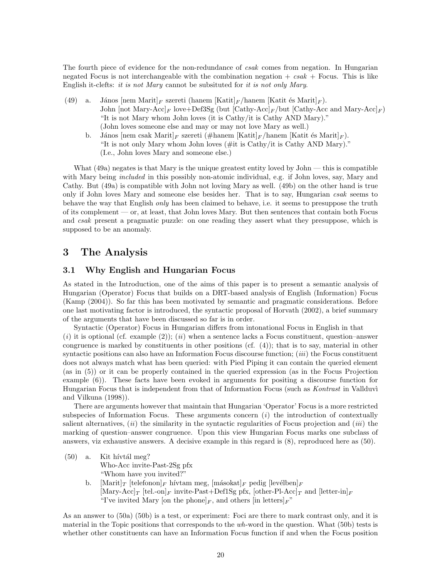The fourth piece of evidence for the non-redundance of csak comes from negation. In Hungarian negated Focus is not interchangeable with the combination negation  $+ \ csak +$  Focus. This is like English it-clefts: it is not Mary cannot be subsituted for it is not only Mary.

- (49) a. János  $\left[\text{nem Marit}\right]_F$  szereti (hanem  $\left[\text{Kaitt}\right]_F$ /hanem  $\left[\text{Kaitt és Marit}\right]_F$ ). John [not Mary-Acc]<sub>F</sub> love+Def3Sg (but  $[\text{Cathy-Acc}]_F$ /but  $[\text{Cathy-Acc}$  and Mary-Acc]<sub>F</sub>) "It is not Mary whom John loves (it is Cathy/it is Cathy AND Mary)." (John loves someone else and may or may not love Mary as well.)
	- b. János [nem csak Marit]<sub>F</sub> szereti (#hanem [Katit]<sub>F</sub>/hanem [Katit és Marit]<sub>F</sub>). "It is not only Mary whom John loves (#it is Cathy/it is Cathy AND Mary)." (I.e., John loves Mary and someone else.)

What (49a) negates is that Mary is the unique greatest entity loved by John — this is compatible with Mary being *included* in this possibly non-atomic individual, e.g. if John loves, say, Mary and Cathy. But (49a) is compatible with John not loving Mary as well. (49b) on the other hand is true only if John loves Mary and someone else besides her. That is to say, Hungarian *csak* seems to behave the way that English *only* has been claimed to behave, i.e. it seems to presuppose the truth of its complement — or, at least, that John loves Mary. But then sentences that contain both Focus and csak present a pragmatic puzzle: on one reading they assert what they presuppose, which is supposed to be an anomaly.

## 3 The Analysis

### 3.1 Why English and Hungarian Focus

As stated in the Introduction, one of the aims of this paper is to present a semantic analysis of Hungarian (Operator) Focus that builds on a DRT-based analysis of English (Information) Focus (Kamp (2004)). So far this has been motivated by semantic and pragmatic considerations. Before one last motivating factor is introduced, the syntactic proposal of Horvath (2002), a brief summary of the arguments that have been discussed so far is in order.

Syntactic (Operator) Focus in Hungarian differs from intonational Focus in English in that  $(i)$  it is optional (cf. example (2)); (ii) when a sentence lacks a Focus constituent, question–answer congruence is marked by constituents in other positions (cf. (4)); that is to say, material in other syntactic positions can also have an Information Focus discourse function;  $(iii)$  the Focus constituent does not always match what has been queried: with Pied Piping it can contain the queried element (as in (5)) or it can be properly contained in the queried expression (as in the Focus Projection example (6)). These facts have been evoked in arguments for positing a discourse function for Hungarian Focus that is independent from that of Information Focus (such as Kontrast in Vallduvi and Vilkuna (1998)).

There are arguments however that maintain that Hungarian 'Operator' Focus is a more restricted subspecies of Information Focus. These arguments concern  $(i)$  the introduction of contextually salient alternatives,  $(ii)$  the similarity in the syntactic regularities of Focus projection and  $(iii)$  the marking of question–answer congruence. Upon this view Hungarian Focus marks one subclass of answers, viz exhaustive answers. A decisive example in this regard is (8), reproduced here as (50).

- $(50)$  a. Kit hívtál meg? Who-Acc invite-Past-2Sg pfx "Whom have you invited?"
	- b. [Marit] $\Gamma$  [telefonon] $_F$  hívtam meg, [másokat] $_F$  pedig [levélben] $_F$  $[\text{Mary-Acc}]_T$  [tel.-on]<sub>F</sub> invite-Past+Def1Sg pfx, [other-Pl-Acc]<sub>T</sub> and [letter-in]<sub>F</sub> "I've invited Mary [on the phone]<sub>F</sub>, and others [in letters]<sub>F</sub>"

As an answer to (50a) (50b) is a test, or experiment: Foci are there to mark contrast only, and it is material in the Topic positions that corresponds to the  $wh$ -word in the question. What (50b) tests is whether other constituents can have an Information Focus function if and when the Focus position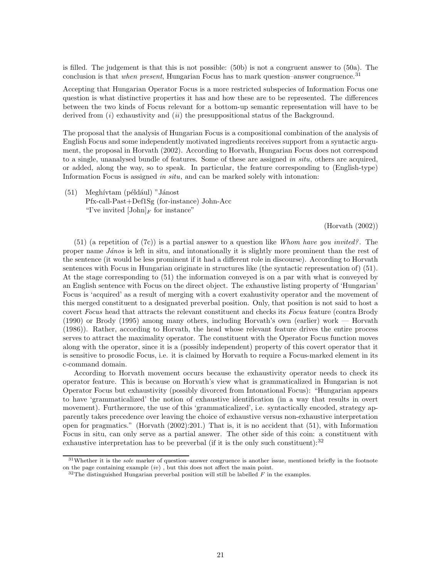is filled. The judgement is that this is not possible: (50b) is not a congruent answer to (50a). The conclusion is that *when present*, Hungarian Focus has to mark question–answer congruence.<sup>31</sup>

Accepting that Hungarian Operator Focus is a more restricted subspecies of Information Focus one question is what distinctive properties it has and how these are to be represented. The differences between the two kinds of Focus relevant for a bottom-up semantic representation will have to be derived from  $(i)$  exhaustivity and  $(ii)$  the presuppositional status of the Background.

The proposal that the analysis of Hungarian Focus is a compositional combination of the analysis of English Focus and some independently motivated ingredients receives support from a syntactic argument, the proposal in Horvath (2002). According to Horvath, Hungarian Focus does not correspond to a single, unanalysed bundle of features. Some of these are assigned in situ, others are acquired, or added, along the way, so to speak. In particular, the feature corresponding to (English-type) Information Focus is assigned in situ, and can be marked solely with intonation:

 $(51)$  Meghívtam (például) "Jánost" Pfx-call-Past+Def1Sg (for-instance) John-Acc "I've invited  $[\text{John}]_F$  for instance"

#### (Horvath (2002))

 $(51)$  (a repetition of  $(7c)$ ) is a partial answer to a question like Whom have you invited? The proper name *János* is left in situ, and intonationally it is slightly more prominent than the rest of the sentence (it would be less prominent if it had a different role in discourse). According to Horvath sentences with Focus in Hungarian originate in structures like (the syntactic representation of) (51). At the stage corresponding to (51) the information conveyed is on a par with what is conveyed by an English sentence with Focus on the direct object. The exhaustive listing property of 'Hungarian' Focus is 'acquired' as a result of merging with a covert exahustivity operator and the movement of this merged constituent to a designated preverbal position. Only, that position is not said to host a covert Focus head that attracts the relevant constituent and checks its Focus feature (contra Brody (1990) or Brody (1995) among many others, including Horvath's own (earlier) work — Horvath (1986)). Rather, according to Horvath, the head whose relevant feature drives the entire process serves to attract the maximality operator. The constituent with the Operator Focus function moves along with the operator, since it is a (possibly independent) property of this covert operator that it is sensitive to prosodic Focus, i.e. it is claimed by Horvath to require a Focus-marked element in its c-command domain.

According to Horvath movement occurs because the exhaustivity operator needs to check its operator feature. This is because on Horvath's view what is grammaticalized in Hungarian is not Operator Focus but exhaustivity (possibly divorced from Intonational Focus): "Hungarian appears to have 'grammaticalized' the notion of exhaustive identification (in a way that results in overt movement). Furthermore, the use of this 'grammaticalized', i.e. syntactically encoded, strategy apparently takes precedence over leaving the choice of exhaustive versus non-exhaustive interpretation open for pragmatics." (Horvath (2002):201.) That is, it is no accident that (51), with Information Focus in situ, can only serve as a partial answer. The other side of this coin: a constituent with exhaustive interpretation has to be preverbal (if it is the only such constituent): $3^2$ 

 $31$ Whether it is the *sole* marker of question–answer congruence is another issue, mentioned briefly in the footnote on the page containing example  $(iv)$ , but this does not affect the main point.

 $32$ The distinguished Hungarian preverbal position will still be labelled F in the examples.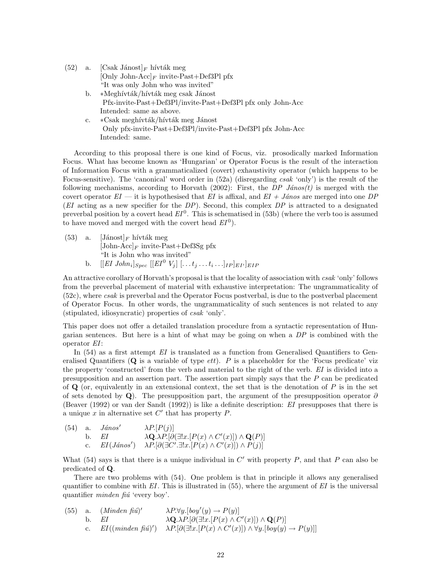| $(52)$ a. | $\lceil \text{Csak Jánost} \rceil_F \text{hívták meg}$ |
|-----------|--------------------------------------------------------|
|           | [Only John-Acc] <sub>F</sub> invite-Past+Def3Pl pfx    |
|           | "It was only John who was invited"                     |

- b. ∗Meghívták/hívták meg csak Jánost Pfx-invite-Past+Def3Pl/invite-Past+Def3Pl pfx only John-Acc Intended: same as above.
- c. ∗Csak meghívták/hívták meg Jánost Only pfx-invite-Past+Def3Pl/invite-Past+Def3Pl pfx John-Acc Intended: same.

According to this proposal there is one kind of Focus, viz. prosodically marked Information Focus. What has become known as 'Hungarian' or Operator Focus is the result of the interaction of Information Focus with a grammaticalized (covert) exhaustivity operator (which happens to be Focus-sensitive). The 'canonical' word order in (52a) (disregarding csak 'only') is the result of the following mechanisms, according to Horvath (2002): First, the DP János(t) is merged with the covert operator  $EI$  — it is hypothesised that EI is affixal, and  $EI + János$  are merged into one DP (EI acting as a new specifier for the  $DP$ ). Second, this complex  $DP$  is attracted to a designated preverbal position by a covert head  $EI^0$ . This is schematised in (53b) (where the verb too is assumed to have moved and merged with the covert head  $EI^0$ ).

(53) a.  $[\text{Jánost}]_F$  hívták meg  $[John-Acc]_F$  invite-Past+Def3Sg pfx "It is John who was invited" b.  $[[EI\ John_i]_{Spec}\ [[EI^0\ V_j]\ [\ldots t_j\ldots t_i\ldots]_{IP}]_{EI'}]_{EIP}$ 

An attractive corollary of Horvath's proposal is that the locality of association with csak 'only' follows from the preverbal placement of material with exhaustive interpretation: The ungrammaticality of (52c), where csak is preverbal and the Operator Focus postverbal, is due to the postverbal placement of Operator Focus. In other words, the ungrammaticality of such sentences is not related to any (stipulated, idiosyncratic) properties of csak 'only'.

This paper does not offer a detailed translation procedure from a syntactic representation of Hungarian sentences. But here is a hint of what may be going on when a DP is combined with the operator EI:

In  $(54)$  as a first attempt EI is translated as a function from Generalised Quantifiers to Generalised Quantifiers  $(Q$  is a variable of type  $e$ th. P is a placeholder for the 'Focus predicate' viz the property 'constructed' from the verb and material to the right of the verb. EI is divided into a presupposition and an assertion part. The assertion part simply says that the P can be predicated of  $\bf{Q}$  (or, equivalently in an extensional context, the set that is the denotation of  $P$  is in the set of sets denoted by Q). The presupposition part, the argument of the presupposition operator  $\partial$ (Beaver (1992) or van der Sandt (1992)) is like a definite description: EI presupposes that there is a unique  $x$  in alternative set  $C'$  that has property  $P$ .

(54) a. 
$$
János'
$$
  $\lambda P.[P(j)]$   
b. EI  $\lambda \mathbf{Q}.\lambda P.[\partial(\exists !x.[P(x) \wedge C'(x)]) \wedge \mathbf{Q}(P)]$   
c. EI( $János'$ )  $\lambda P.[\partial(\exists C'.\exists !x.[P(x) \wedge C'(x)]) \wedge P(j)]$ 

What (54) says is that there is a unique individual in  $C'$  with property  $P$ , and that  $P$  can also be predicated of Q.

There are two problems with (54). One problem is that in principle it allows any generalised quantifier to combine with  $EI$ . This is illustrated in (55), where the argument of  $EI$  is the universal quantifier *minden fiu* 'every boy'.

(55) a. (*Minden fiú*)' 
$$
\lambda P.\forall y.[boy'(y) \rightarrow P(y)]
$$
  
b. EI  $\lambda \mathbf{Q}.\lambda P.[\partial(\exists!x.[P(x) \land C'(x)]) \land \mathbf{Q}(P)]$   
c. EI((*minden fiú*)')  $\lambda P.[\partial(\exists!x.[P(x) \land C'(x)]) \land \forall y.[boy(y) \rightarrow P(y)]$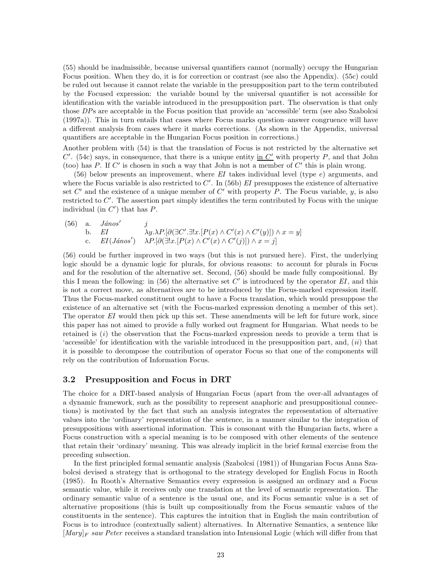(55) should be inadmissible, because universal quantifiers cannot (normally) occupy the Hungarian Focus position. When they do, it is for correction or contrast (see also the Appendix). (55c) could be ruled out because it cannot relate the variable in the presupposition part to the term contributed by the Focused expression: the variable bound by the universal quantifier is not accessible for identification with the variable introduced in the presupposition part. The observation is that only those DPs are acceptable in the Focus position that provide an 'accessible' term (see also Szabolcsi (1997a)). This in turn entails that cases where Focus marks question–answer congruence will have a different analysis from cases where it marks corrections. (As shown in the Appendix, universal quantifiers are acceptable in the Hungarian Focus position in corrections.)

Another problem with (54) is that the translation of Focus is not restricted by the alternative set  $C'$ . (54c) says, in consequence, that there is a unique entity in  $C'$  with property P, and that John (too) has P. If C' is chosen in such a way that John is not a member of  $C'$  this is plain wrong.

 $(56)$  below presents an improvement, where EI takes individual level (type e) arguments, and where the Focus variable is also restricted to  $C'$ . In (56b) EI presupposes the existence of alternative set  $C'$  and the existence of a unique member of  $C'$  with property P. The Focus variable, y, is also restricted to  $C'$ . The assertion part simply identifies the term contributed by Focus with the unique individual (in  $C'$ ) that has  $P$ .

 $(56)$  a. János' j b. EI  $\lambda y.\lambda P.[\partial(\exists C'.\exists ! x.[P(x) \wedge C'(x) \wedge C'(y)]) \wedge x=y]$ c.  $EI(János') \quad \lambda P[\partial(\exists !x.[P(x) \wedge C'(x) \wedge C'(y)]) \wedge x = j]$ 

(56) could be further improved in two ways (but this is not pursued here). First, the underlying logic should be a dynamic logic for plurals, for obvious reasons: to account for plurals in Focus and for the resolution of the alternative set. Second, (56) should be made fully compositional. By this I mean the following: in (56) the alternative set  $C'$  is introduced by the operator EI, and this is not a correct move, as alternatives are to be introduced by the Focus-marked expression itself. Thus the Focus-marked constituent ought to have a Focus translation, which would presuppose the existence of an alternative set (with the Focus-marked expression denoting a member of this set). The operator EI would then pick up this set. These amendments will be left for future work, since this paper has not aimed to provide a fully worked out fragment for Hungarian. What needs to be retained is  $(i)$  the observation that the Focus-marked expression needs to provide a term that is 'accessible' for identification with the variable introduced in the presupposition part, and,  $(ii)$  that it is possible to decompose the contribution of operator Focus so that one of the components will rely on the contribution of Information Focus.

### 3.2 Presupposition and Focus in DRT

The choice for a DRT-based analysis of Hungarian Focus (apart from the over-all advantages of a dynamic framework, such as the possibility to represent anaphoric and presuppositional connections) is motivated by the fact that such an analysis integrates the representation of alternative values into the 'ordinary' representation of the sentence, in a manner similar to the integration of presuppositions with assertional information. This is consonant with the Hungarian facts, where a Focus construction with a special meaning is to be composed with other elements of the sentence that retain their 'ordinary' meaning. This was already implicit in the brief formal exercise from the preceding subsection.

In the first principled formal semantic analysis (Szabolcsi (1981)) of Hungarian Focus Anna Szabolcsi devised a strategy that is orthogonal to the strategy developed for English Focus in Rooth (1985). In Rooth's Alternative Semantics every expression is assigned an ordinary and a Focus semantic value, while it receives only one translation at the level of semantic representation. The ordinary semantic value of a sentence is the usual one, and its Focus semantic value is a set of alternative propositions (this is built up compositionally from the Focus semantic values of the constituents in the sentence). This captures the intuition that in English the main contribution of Focus is to introduce (contextually salient) alternatives. In Alternative Semantics, a sentence like  $\lceil Mary \rceil_F$  saw Peter receives a standard translation into Intensional Logic (which will differ from that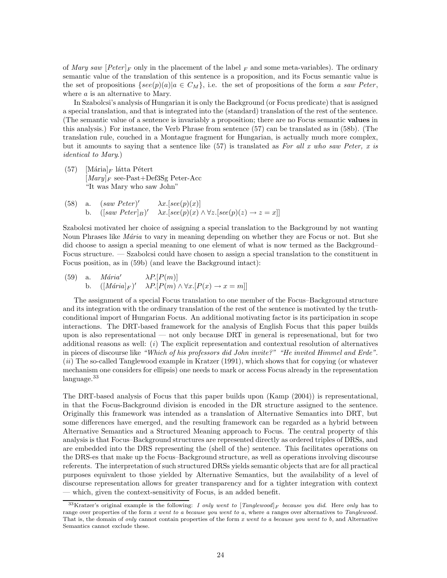of Mary saw  $[Peter]_F$  only in the placement of the label  $_F$  and some meta-variables). The ordinary semantic value of the translation of this sentence is a proposition, and its Focus semantic value is the set of propositions  $\{see(p)(a)|a \in C_M\}$ , i.e. the set of propositions of the form a saw Peter, where a is an alternative to Mary.

In Szabolcsi's analysis of Hungarian it is only the Background (or Focus predicate) that is assigned a special translation, and that is integrated into the (standard) translation of the rest of the sentence. (The semantic value of a sentence is invariably a proposition; there are no Focus semantic values in this analysis.) For instance, the Verb Phrase from sentence (57) can be translated as in (58b). (The translation rule, couched in a Montague fragment for Hungarian, is actually much more complex, but it amounts to saying that a sentence like  $(57)$  is translated as For all x who saw Peter, x is identical to Mary.)

- (57)  $[\text{Mária}]_F$  látta Pétert  $[Mary]_F$  see-Past+Def3Sg Peter-Acc "It was Mary who saw John"
- (58) a.  $(saw Peter)' \qquad \lambda x. [see(p)(x)]$ b.  $([saw \space Peter]_B)' \quad \lambda x. [see (p)(x) \land \forall z. [see (p)(z) \rightarrow z = x]]$

Szabolcsi motivated her choice of assigning a special translation to the Background by not wanting Noun Phrases like *Mária* to vary in meaning depending on whether they are Focus or not. But she did choose to assign a special meaning to one element of what is now termed as the Background– Focus structure. — Szabolcsi could have chosen to assign a special translation to the constituent in Focus position, as in (59b) (and leave the Background intact):

(59) a. *Mária'*  $\lambda P. [P(m)]$ b.  $([M\acute{a}ria]_F)'$  $\lambda P. [P(m) \wedge \forall x . [P(x) \rightarrow x = m]]$ 

The assignment of a special Focus translation to one member of the Focus–Background structure and its integration with the ordinary translation of the rest of the sentence is motivated by the truthconditional import of Hungarian Focus. An additional motivating factor is its participation in scope interactions. The DRT-based framework for the analysis of English Focus that this paper builds upon is also representational — not only because DRT in general is represenational, but for two additional reasons as well:  $(i)$  The explicit representation and contextual resolution of alternatives in pieces of discourse like "Which of his professors did John invite?" "He invited Himmel and Erde". (ii) The so-called Tanglewood example in Kratzer (1991), which shows that for copying (or whatever mechanism one considers for ellipsis) one needs to mark or access Focus already in the representation language.<sup>33</sup>

The DRT-based analysis of Focus that this paper builds upon (Kamp (2004)) is representational, in that the Focus-Background division is encoded in the DR structure assigned to the sentence. Originally this framework was intended as a translation of Alternative Semantics into DRT, but some differences have emerged, and the resulting framework can be regarded as a hybrid between Alternative Semantics and a Structured Meaning approach to Focus. The central property of this analysis is that Focus–Background structures are represented directly as ordered triples of DRSs, and are embedded into the DRS representing the (shell of the) sentence. This facilitates operations on the DRS-es that make up the Focus–Background structure, as well as operations involving discourse referents. The interpretation of such structured DRSs yields semantic objects that are for all practical purposes equivalent to those yielded by Alternative Semantics, but the availability of a level of discourse representation allows for greater transparency and for a tighter integration with context which, given the context-sensitivity of Focus, is an added benefit.

<sup>&</sup>lt;sup>33</sup>Kratzer's original example is the following: I only went to  $[Tanglewood]_F$  because you did. Here only has to range over properties of the form x went to a because you went to a, where a ranges over alternatives to Tanglewood. That is, the domain of only cannot contain properties of the form x went to a because you went to b, and Alternative Semantics cannot exclude these.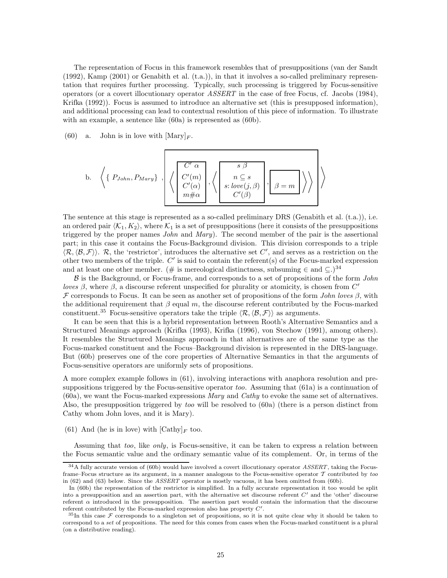The representation of Focus in this framework resembles that of presuppositions (van der Sandt (1992), Kamp (2001) or Genabith et al. (t.a.)), in that it involves a so-called preliminary representation that requires further processing. Typically, such processing is triggered by Focus-sensitive operators (or a covert illocutionary operator ASSERT in the case of free Focus, cf. Jacobs (1984), Krifka (1992)). Focus is assumed to introduce an alternative set (this is presupposed information), and additional processing can lead to contextual resolution of this piece of information. To illustrate with an example, a sentence like (60a) is represented as (60b).

(60) a. John is in love with  $[\text{Mary}]_F$ .

b. 
$$
\left\langle \left\{ P_{John}, P_{Mary} \right\}, \left\langle \left\{ \begin{array}{c} C' \alpha \\ C'(m) \\ C'(\alpha) \\ m \# \alpha \end{array} \right\}, \left\langle \left\{ \begin{array}{c} s \beta \\ n \subseteq s \\ s: love(j, \beta) \\ C'(\beta) \end{array} \right\}, \boxed{\beta = m} \right\} \right\rangle \right\rangle
$$

The sentence at this stage is represented as a so-called preliminary DRS (Genabith et al. (t.a.)), i.e. an ordered pair  $\langle K_1, K_2 \rangle$ , where  $K_1$  is a set of presuppositions (here it consists of the presuppositions triggered by the proper names *John* and *Mary*). The second member of the pair is the assertional part; in this case it contains the Focus-Background division. This division corresponds to a triple  $\langle \mathcal{R}, \langle \mathcal{B}, \mathcal{F} \rangle \rangle$ . R, the 'restrictor', introduces the alternative set C', and serves as a restriction on the other two members of the triple.  $C'$  is said to contain the referent(s) of the Focus-marked expression and at least one other member. (# is mereological distinctness, subsuming  $\in$  and  $\subseteq$ .)<sup>34</sup>

 $\beta$  is the Background, or Focus-frame, and corresponds to a set of propositions of the form *John* loves  $\beta$ , where  $\beta$ , a discourse referent unspecified for plurality or atomicity, is chosen from C' F corresponds to Focus. It can be seen as another set of propositions of the form John loves  $\beta$ , with the additional requirement that  $\beta$  equal m, the discourse referent contributed by the Focus-marked constituent.<sup>35</sup> Focus-sensitive operators take the triple  $\langle \mathcal{R}, \langle \mathcal{B}, \mathcal{F} \rangle$  as arguments.

It can be seen that this is a hybrid representation between Rooth's Alternative Semantics and a Structured Meanings approach (Krifka (1993), Krifka (1996), von Stechow (1991), among others). It resembles the Structured Meanings approach in that alternatives are of the same type as the Focus-marked constituent and the Focus–Background division is represented in the DRS-language. But (60b) preserves one of the core properties of Alternative Semantics in that the arguments of Focus-sensitive operators are uniformly sets of propositions.

A more complex example follows in (61), involving interactions with anaphora resolution and presuppositions triggered by the Focus-sensitive operator too. Assuming that (61a) is a continuation of (60a), we want the Focus-marked expressions Mary and Cathy to evoke the same set of alternatives. Also, the presupposition triggered by too will be resolved to (60a) (there is a person distinct from Cathy whom John loves, and it is Mary).

(61) And (he is in love) with  $[{\rm Cathy}]_F$  too.

Assuming that too, like only, is Focus-sensitive, it can be taken to express a relation between the Focus semantic value and the ordinary semantic value of its complement. Or, in terms of the

 $34A$  fully accurate version of (60b) would have involved a covert illocutionary operator ASSERT, taking the Focusframe–Focus structure as its argument, in a manner analogous to the Focus-sensitive operator  $\mathcal T$  contributed by too in (62) and (63) below. Since the ASSERT operator is mostly vacuous, it has been omitted from (60b).

In (60b) the representation of the restrictor is simplified. In a fully accurate representation it too would be split into a presupposition and an assertion part, with the alternative set discourse referent  $C'$  and the 'other' discourse referent  $\alpha$  introduced in the presupposition. The assertion part would contain the information that the discourse referent contributed by the Focus-marked expression also has property  $C'$ .

 $35$ In this case F corresponds to a singleton set of propositions, so it is not quite clear why it should be taken to correspond to a set of propositions. The need for this comes from cases when the Focus-marked constituent is a plural (on a distributive reading).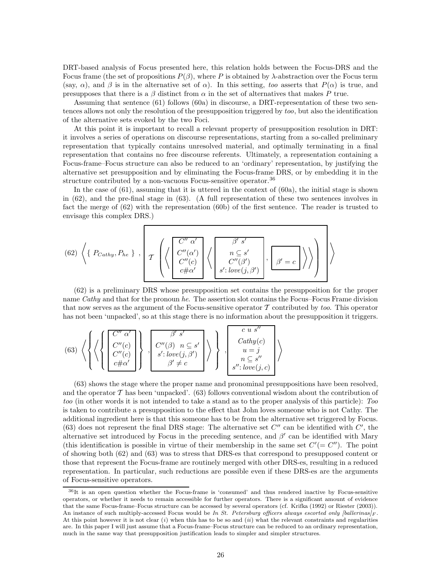DRT-based analysis of Focus presented here, this relation holds between the Focus-DRS and the Focus frame (the set of propositions  $P(\beta)$ , where P is obtained by  $\lambda$ -abstraction over the Focus term (say,  $\alpha$ ), and  $\beta$  is in the alternative set of  $\alpha$ ). In this setting, too asserts that  $P(\alpha)$  is true, and presupposes that there is a  $\beta$  distinct from  $\alpha$  in the set of alternatives that makes P true.

Assuming that sentence (61) follows (60a) in discourse, a DRT-representation of these two sentences allows not only the resolution of the presupposition triggered by too, but also the identification of the alternative sets evoked by the two Foci.

At this point it is important to recall a relevant property of presupposition resolution in DRT: it involves a series of operations on discourse representations, starting from a so-called preliminary representation that typically contains unresolved material, and optimally terminating in a final representation that contains no free discourse referents. Ultimately, a representation containing a Focus-frame–Focus structure can also be reduced to an 'ordinary' representation, by justifying the alternative set presupposition and by eliminating the Focus-frame DRS, or by embedding it in the structure contributed by a non-vacuous Focus-sensitive operator.<sup>36</sup>

In the case of (61), assuming that it is uttered in the context of (60a), the initial stage is shown in (62), and the pre-final stage in (63). (A full representation of these two sentences involves in fact the merge of (62) with the representation (60b) of the first sentence. The reader is trusted to envisage this complex DRS.)

(62) 
$$
\left\langle \left\{ P_{Cathy}, P_{he} \right\}, \left\{ T \left( \left\langle \begin{array}{c} C'' \alpha' \\ C''(\alpha') \\ C''(c) \\ c \# \alpha' \end{array} \right\rangle \left\langle \left\langle \begin{array}{c} \beta' s' \\ n \subseteq s' \\ C''(\beta') \\ s': \text{love}(j, \beta') \end{array} \right\rangle, \left\{ \beta' = c \right\} \right\rangle \right\rangle \right\}
$$

(62) is a preliminary DRS whose presupposition set contains the presupposition for the proper name Cathy and that for the pronoun he. The assertion slot contains the Focus–Focus Frame division that now serves as the argument of the Focus-sensitive operator  $\mathcal T$  contributed by too. This operator has not been 'unpacked', so at this stage there is no information about the presupposition it triggers.

(63) 
$$
\left\langle \left\{ \left\langle \left\{ \begin{bmatrix} C'' & \alpha' \\ C''(c) \\ C''(c) \\ c \# \alpha' \end{bmatrix} \right\} , \begin{bmatrix} \beta' & s' \\ C''(\beta) & n \subseteq s' \\ s' : \operatorname{love}(j, \beta') \\ \beta' \neq c \end{bmatrix} \right\} \right\rangle \right\} , \begin{bmatrix} c & u & s'' \\ \operatorname{Cathy}(c) \\ u = j \\ n \subseteq s'' \\ s'' : \operatorname{love}(j, c) \end{bmatrix} \right\rangle
$$

(63) shows the stage where the proper name and pronominal presuppositions have been resolved, and the operator  $\mathcal T$  has been 'unpacked'. (63) follows conventional wisdom about the contribution of too (in other words it is not intended to take a stand as to the proper analysis of this particle): Too is taken to contribute a presupposition to the effect that John loves someone who is not Cathy. The additional ingredient here is that this someone has to be from the alternative set triggered by Focus. (63) does not represent the final DRS stage: The alternative set  $C''$  can be identified with  $C'$ , the alternative set introduced by Focus in the preceding sentence, and  $\beta'$  can be identified with Mary (this identification is possible in virtue of their membership in the same set  $C' (= C'')$ ). The point of showing both (62) and (63) was to stress that DRS-es that correspond to presupposed content or those that represent the Focus-frame are routinely merged with other DRS-es, resulting in a reduced representation. In particular, such reductions are possible even if these DRS-es are the arguments of Focus-sensitive operators.

<sup>36</sup>It is an open question whether the Focus-frame is 'consumed' and thus rendered inactive by Focus-sensitive operators, or whether it needs to remain accessible for further operators. There is a significant amount of evidence that the same Focus-frame–Focus structure can be accessed by several operators (cf. Krifka (1992) or Riester (2003)). An instance of such multiply-accessed Focus would be In St. Petersburg officers always escorted only [ballerinas] $_F$ . At this point however it is not clear  $(i)$  when this has to be so and  $(ii)$  what the relevant constraints and regularities are. In this paper I will just assume that a Focus-frame–Focus structure can be reduced to an ordinary representation, much in the same way that presupposition justification leads to simpler and simpler structures.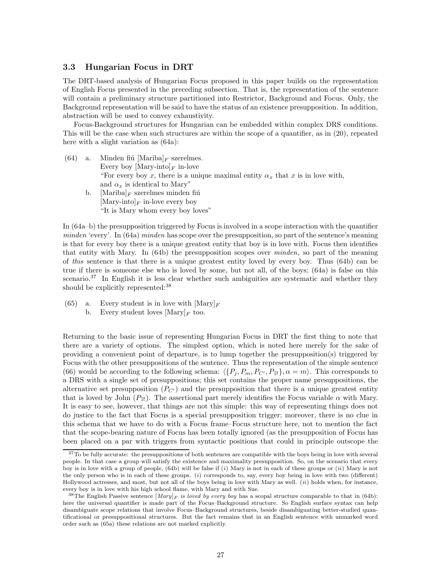### 3.3 Hungarian Focus in DRT

The DRT-based analysis of Hungarian Focus proposed in this paper builds on the representation of English Focus presented in the preceding subsection. That is, the representation of the sentence will contain a preliminary structure partitioned into Restrictor, Background and Focus. Only, the Background representation will be said to have the status of an existence presupposition. In addition, abstraction will be used to convey exhaustivity.

Focus-Background structures for Hungarian can be embedded within complex DRS conditions. This will be the case when such structures are within the scope of a quantifier, as in (20), repeated here with a slight variation as  $(64a)$ :

- (64) a. Minden fiú  $[\text{Mariba}]_F$  szerelmes. Every boy  $[\text{Mary-into}]_F$  in-love "For every boy x, there is a unique maximal entity  $\alpha_x$  that x is in love with, and  $\alpha_x$  is identical to Mary"
	- b. [Mariba] $_F$  szerelmes minden fiú  $[\text{Mary-intol}_F]$  in-love every boy "It is Mary whom every boy loves"

In (64a–b) the presupposition triggered by Focus is involved in a scope interaction with the quantifier minden 'every'. In (64a) minden has scope over the presupposition, so part of the sentence's meaning is that for every boy there is a unique greatest entity that boy is in love with. Focus then identifies that entity with Mary. In (64b) the presupposition scopes over minden, so part of the meaning of this sentence is that there is a unique greatest entity loved by every boy. Thus (64b) can be true if there is someone else who is loved by some, but not all, of the boys; (64a) is false on this scenario.<sup>37</sup> In English it is less clear whether such ambiguities are systematic and whether they should be explicitly represented:<sup>38</sup>

- (65) a. Every student is in love with  $[\text{Mary}]_F$ 
	- b. Every student loves  $[\text{Mary}]_F$  too.

Returning to the basic issue of representing Hungarian Focus in DRT the first thing to note that there are a variety of options. The simplest option, which is noted here merely for the sake of providing a convenient point of departure, is to lump together the presupposition(s) triggered by Focus with the other presuppositions of the sentence. Thus the representation of the simple sentence (66) would be according to the following schema:  $\langle {P_j, P_m, P_{C'}}, P_{\exists} \rangle, \alpha = m \rangle$ . This corresponds to a DRS with a single set of presuppositions; this set contains the proper name presuppositions, the alternative set presupposition  $(P_{C})$  and the presupposition that there is a unique greatest entity that is loved by John  $(P_{\exists l})$ . The assertional part merely identifies the Focus variable  $\alpha$  with Mary. It is easy to see, however, that things are not this simple: this way of representing things does not do justice to the fact that Focus is a special presupposition trigger; moreover, there is no clue in this schema that we have to do with a Focus frame–Focus structure here, not to mention the fact that the scope-bearing nature of Focus has been totally ignored (as the presupposition of Focus has been placed on a par with triggers from syntactic positions that could in principle outscope the

<sup>&</sup>lt;sup>37</sup>To be fully accurate: the presuppositions of both sentences are compatible with the boys being in love with several people. In that case a group will satisfy the existence and maximality presupposition. So, on the scenario that every boy is in love with a group of people, (64b) will be false if (i) Mary is not in each of these groups or (ii) Mary is not the only person who is in each of these groups. (i) corresponds to, say, every boy being in love with two (different) Hollywood actresses, and most, but not all of the boys being in love with Mary as well.  $(ii)$  holds when, for instance, every boy is in love with his high school flame, with Mary and with Sue.

<sup>&</sup>lt;sup>38</sup>The English Passive sentence  $[Mary]_F$  is loved by every boy has a scopal structure comparable to that in (64b): here the universal quantifier is made part of the Focus–Background structure. So English surface syntax can help disambiguate scope relations that involve Focus–Background structures, beside disambiguating better-studied quantificational or presuppositional structures. But the fact remains that in an English sentence with unmarked word order such as (65a) these relations are not marked explicitly.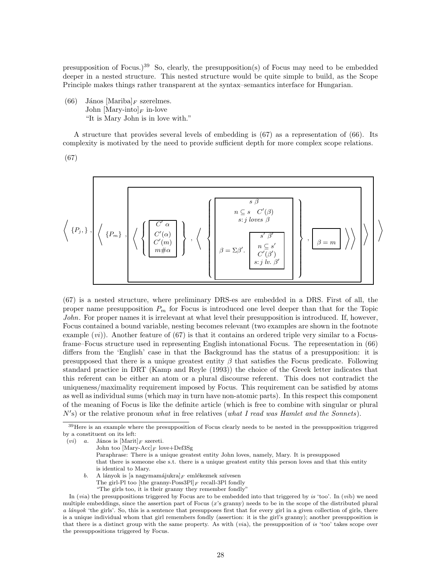presupposition of Focus.)<sup>39</sup> So, clearly, the presupposition(s) of Focus may need to be embedded deeper in a nested structure. This nested structure would be quite simple to build, as the Scope Principle makes things rather transparent at the syntax–semantics interface for Hungarian.

(66) János [Mariba]<sub>F</sub> szerelmes. John  $[\text{Mary-intol}_F \text{ in-love}]$ "It is Mary John is in love with."

A structure that provides several levels of embedding is (67) as a representation of (66). Its complexity is motivated by the need to provide sufficient depth for more complex scope relations.

(67)



(67) is a nested structure, where preliminary DRS-es are embedded in a DRS. First of all, the proper name presupposition  $P_m$  for Focus is introduced one level deeper than that for the Topic John. For proper names it is irrelevant at what level their presupposition is introduced. If, however, Focus contained a bound variable, nesting becomes relevant (two examples are shown in the footnote example  $(vi)$ ). Another feature of (67) is that it contains an ordered triple very similar to a Focusframe–Focus structure used in representing English intonational Focus. The representation in (66) differs from the 'English' case in that the Background has the status of a presupposition: it is presupposed that there is a unique greatest entity  $\beta$  that satisfies the Focus predicate. Following standard practice in DRT (Kamp and Reyle (1993)) the choice of the Greek letter indicates that this referent can be either an atom or a plural discourse referent. This does not contradict the uniqueness/maximality requirement imposed by Focus. This requirement can be satisfied by atoms as well as individual sums (which may in turn have non-atomic parts). In this respect this component of the meaning of Focus is like the definite article (which is free to combine with singular or plural  $N'$ s) or the relative pronoun what in free relatives (what I read was Hamlet and the Sonnets).

- b. A lányok is [a nagymamájukra] $_F$  emlékeznek szívesen
	- The girl-Pl too [the granny-Poss3Pl] $_F$  recall-3Pl fondly
	- "The girls too, it is their granny they remember fondly"

<sup>&</sup>lt;sup>39</sup>Here is an example where the presupposition of Focus clearly needs to be nested in the presupposition triggered by a constituent on its left:

<sup>(</sup>*vi*) *a*. János is  $[\text{Marit}]_F$  szereti.

John too  $[\mbox{Mary-Acc}]_F$  love+Def3Sg

Paraphrase: There is a unique greatest entity John loves, namely, Mary. It is presupposed that there is someone else s.t. there is a unique greatest entity this person loves and that this entity is identical to Mary.

In (via) the presuppositions triggered by Focus are to be embedded into that triggered by is 'too'. In (vib) we need multiple embeddings, since the assertion part of Focus (x's granny) needs to be in the scope of the distributed plural a lányok 'the girls'. So, this is a sentence that presupposes first that for every girl in a given collection of girls, there is a unique individual whom that girl remembers fondly (assertion: it is the girl's granny); another presupposition is that there is a distinct group with the same property. As with (via), the presupposition of is 'too' takes scope over the presuppositions triggered by Focus.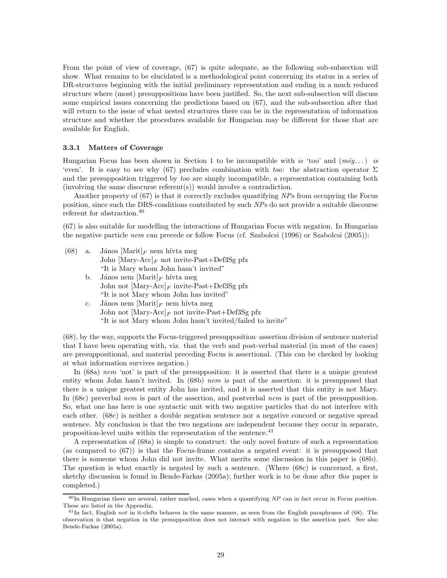From the point of view of coverage, (67) is quite adequate, as the following sub-subsection will show. What remains to be elucidated is a methodological point concerning its status in a series of DR-structures beginning with the initial preliminary representation and ending in a much reduced structure where (most) presuppositions have been justified. So, the next sub-subsection will discuss some empirical issues concerning the predictions based on (67), and the sub-subsection after that will return to the issue of what nested structures there can be in the representation of information structure and whether the procedures available for Hungarian may be different for those that are available for English.

#### 3.3.1 Matters of Coverage

Hungarian Focus has been shown in Section 1 to be incompatible with is 'too' and  $(m\acute{e}g$ ...) is 'even'. It is easy to see why (67) precludes combination with too: the abstraction operator  $\Sigma$ and the presupposition triggered by too are simply incompatible, a representation containing both (involving the same disocurse referent(s)) would involve a contradiction.

Another property of (67) is that it correctly excludes quantifying NPs from occupying the Focus position, since such the DRS-conditions contributed by such NPs do not provide a suitable discourse referent for abstraction.<sup>40</sup>

(67) is also suitable for modelling the interactions of Hungarian Focus with negation. In Hungarian the negative particle nem can precede or follow Focus (cf. Szabolcsi (1996) or Szabolcsi (2005)):

- (68) a. János  $[\text{Marit}]_F$  nem hívta meg John  $[\text{Mary-Acc}]_F$  not invite-Past+Def3Sg pfx "It is Mary whom John hasn't invited"
	- b. János nem  $[\text{Marit}]_F$  hívta meg John not  $[\text{Mary-Acc}]_F$  invite-Past+Def3Sg pfx "It is not Mary whom John has invited" c. János nem  $[\text{Marit}]_F$  nem hívta meg
		- John not  $[\text{Mary-Acc}]_F$  not invite-Past+Def3Sg pfx "It is not Mary whom John hasn't invited/failed to invite"

(68), by the way, supports the Focus-triggered presupposition–assertion division of sentence material that I have been operating with, viz. that the verb and post-verbal material (in most of the cases) are presuppositional, and material preceding Focus is assertional. (This can be checked by looking at what information survives negation.)

In (68a) nem 'not' is part of the presupposition: it is asserted that there is a unique greatest entity whom John hasn't invited. In (68b) nem is part of the assertion: it is presupposed that there is a unique greatest entity John has invited, and it is asserted that this entity is not Mary. In (68c) preverbal nem is part of the assertion, and postverbal nem is part of the presupposition. So, what one has here is one syntactic unit with two negative particles that do not interfere with each other. (68c) is neither a double negation sentence nor a negative concord or negative spread sentence. My conclusion is that the two negations are independent because they occur in separate, proposition-level units within the representation of the sentence.<sup>41</sup>

A representation of (68a) is simple to construct: the only novel feature of such a representation (as compared to (67)) is that the Focus-frame contains a negated event: it is presupposed that there is someone whom John did not invite. What merits some discussion in this paper is (68b). The question is what exactly is negated by such a sentence. (Where (68c) is concerned, a first, sketchy discussion is found in Bende-Farkas (2005a); further work is to be done after this paper is completed.)

 $^{40}$ In Hungarian there are several, rather marked, cases when a quantifying NP can in fact occur in Focus position. These are listed in the Appendix.

<sup>&</sup>lt;sup>41</sup>In fact, English not in it-clefts behaves in the same manner, as seen from the English paraphrases of (68). The observation is that negation in the presupposition does not interact with negation in the assertion part. See also Bende-Farkas (2005a).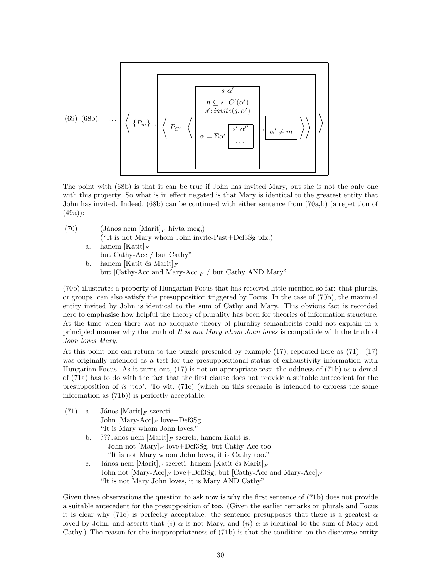(69) (68b): ... 
$$
\langle P_m \rangle
$$
,  $\langle P_{C'} \rangle$ ,  $\langle P_{C'} \rangle$ ,  $\langle P_{C'} \rangle$ ,  $\langle P_{C'} \rangle$ ,  $\langle P_{C'} \rangle$ ,  $\langle P_{C'} \rangle$ ,  $\langle P_{C'} \rangle$ ,  $\langle P_{C'} \rangle$ ,  $\langle P_{C'} \rangle$ ,  $\langle P_{C'} \rangle$ ,  $\langle P_{C'} \rangle$ ,  $\langle P_{C'} \rangle$ ,  $\langle P_{C'} \rangle$ ,  $\langle P_{C'} \rangle$ ,  $\langle P_{C'} \rangle$ ,  $\langle P_{C'} \rangle$ ,  $\langle P_{C'} \rangle$ ,  $\langle P_{C'} \rangle$ ,  $\langle P_{C'} \rangle$ ,  $\langle P_{C'} \rangle$ ,  $\langle P_{C'} \rangle$ ,  $\langle P_{C'} \rangle$ ,  $\langle P_{C'} \rangle$ ,  $\langle P_{C'} \rangle$ ,  $\langle P_{C'} \rangle$ ,  $\langle P_{C'} \rangle$ ,  $\langle P_{C'} \rangle$ ,  $\langle P_{C'} \rangle$ ,  $\langle P_{C'} \rangle$ ,  $\langle P_{C'} \rangle$ ,  $\langle P_{C'} \rangle$ ,  $\langle P_{C'} \rangle$ ,  $\langle P_{C'} \rangle$ ,  $\langle P_{C'} \rangle$ ,  $\langle P_{C'} \rangle$ ,  $\langle P_{C'} \rangle$ ,  $\langle P_{C'} \rangle$ ,  $\langle P_{C'} \rangle$ ,  $\langle P_{C'} \rangle$ ,  $\langle P_{C'} \rangle$ ,  $\langle P_{C'} \rangle$ ,  $\langle P_{C'} \rangle$ ,  $\langle P_{C'} \rangle$ ,  $\langle P_{C'} \rangle$ ,  $\langle P_{C'} \rangle$ ,  $\langle P_{C'} \rangle$ ,  $\langle P_{C'} \rangle$ ,  $\langle P_{C'} \rangle$ ,  $\langle P_{C'} \rangle$ ,  $\langle P_{C'} \rangle$ ,  $\langle P_{C'} \rangle$ ,  $\langle P_{C'} \rangle$ ,  $\langle P_{C'} \rangle$ ,  $\langle P_{C'} \rangle$ ,  $\langle P_{C'} \rangle$ ,  $\langle P_{C'} \rangle$ ,  $\langle P_{C'} \rangle$ ,  $\$ 

The point with (68b) is that it can be true if John has invited Mary, but she is not the only one with this property. So what is in effect negated is that Mary is identical to the greatest entity that John has invited. Indeed, (68b) can be continued with either sentence from (70a,b) (a repetition of (49a)):

(70) (János nem  $[\text{Marit}]_F$  hívta meg,) ("It is not Mary whom John invite-Past+Def3Sg pfx,) a. hanem  $[Katit]_F$ but Cathy-Acc / but Cathy" b. hanem [Katit és Marit] $_F$ but [Cathy-Acc and Mary-Acc] $_F$  / but Cathy AND Mary"

(70b) illustrates a property of Hungarian Focus that has received little mention so far: that plurals, or groups, can also satisfy the presupposition triggered by Focus. In the case of (70b), the maximal entity invited by John is identical to the sum of Cathy and Mary. This obvious fact is recorded here to emphasise how helpful the theory of plurality has been for theories of information structure. At the time when there was no adequate theory of plurality semanticists could not explain in a principled manner why the truth of It is not Mary whom John loves is compatible with the truth of John loves Mary.

At this point one can return to the puzzle presented by example (17), repeated here as (71). (17) was originally intended as a test for the presuppositional status of exhaustivity information with Hungarian Focus. As it turns out, (17) is not an appropriate test: the oddness of (71b) as a denial of (71a) has to do with the fact that the first clause does not provide a suitable antecedent for the presupposition of is 'too'. To wit,  $(71c)$  (which on this scenario is intended to express the same information as (71b)) is perfectly acceptable.

- (71) a. János  $[\text{Marit}]_F$  szereti. John  $[\text{Mary-Acc}]_F$  love+Def3Sg
	- "It is Mary whom John loves."
	- b. ???János nem  $[\text{Marit}]_F$  szereti, hanem Katit is. John not  $[\text{Mary}]_F$  love+Def3Sg, but Cathy-Acc too "It is not Mary whom John loves, it is Cathy too."
	- c. János nem  $[\text{Marit}]_F$  szereti, hanem  $[\text{Katit } \text{\'es Marit}]_F$ John not  $[\text{Mary-Acc}]_F$  love+Def3Sg, but  $[\text{Cathy-Acc}$  and Mary-Acc] $_F$ "It is not Mary John loves, it is Mary AND Cathy"

Given these observations the question to ask now is why the first sentence of (71b) does not provide a suitable antecedent for the presupposition of too. (Given the earlier remarks on plurals and Focus it is clear why (71c) is perfectly acceptable: the sentence presupposes that there is a greatest  $\alpha$ loved by John, and asserts that  $(i)$   $\alpha$  is not Mary, and  $(ii)$   $\alpha$  is identical to the sum of Mary and Cathy.) The reason for the inappropriateness of (71b) is that the condition on the discourse entity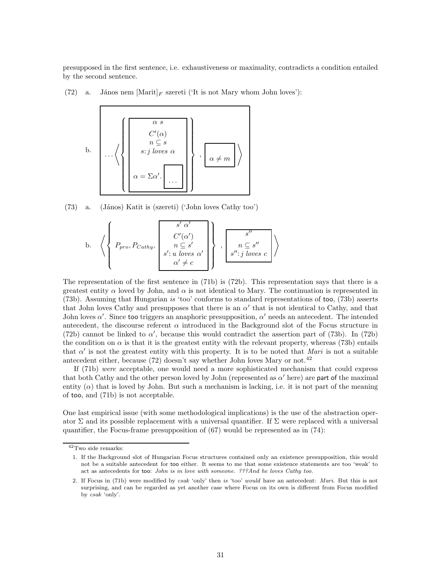presupposed in the first sentence, i.e. exhaustiveness or maximality, contradicts a condition entailed by the second sentence.

(72) a. János nem  $[Marit]_F$  szereti ('It is not Mary whom John loves'):



 $(73)$  a.  $(János)$  Katit is (szereti) ('John loves Cathy too')

b. 
$$
\left\langle \left\{ P_{pro}, P_{Cathy}, \begin{bmatrix} s' \alpha' \\ C'(\alpha') \\ n \subseteq s' \\ s': u \text{ loves } \alpha' \\ \alpha' \neq c \end{bmatrix} \right\}, \begin{bmatrix} s'' \\ s'' \\ n \subseteq s'' \\ s'': j \text{ loves } c \end{bmatrix} \right\rangle
$$

The representation of the first sentence in (71b) is (72b). This representation says that there is a greatest entity  $\alpha$  loved by John, and  $\alpha$  is not identical to Mary. The continuation is represented in (73b). Assuming that Hungarian is 'too' conforms to standard representations of too, (73b) asserts that John loves Cathy and presupposes that there is an  $\alpha'$  that is not identical to Cathy, and that John loves  $\alpha'$ . Since too triggers an anaphoric presupposition,  $\alpha'$  needs an antecedent. The intended antecedent, the discourse referent  $\alpha$  introduced in the Background slot of the Focus structure in (72b) cannot be linked to  $\alpha'$ , because this would contradict the assertion part of (73b). In (72b) the condition on  $\alpha$  is that it is the greatest entity with the relevant property, whereas (73b) entails that  $\alpha'$  is not the greatest entity with this property. It is to be noted that *Mari* is not a suitable antecedent either, because  $(72)$  doesn't say whether John loves Mary or not.<sup>42</sup>

If (71b) were acceptable, one would need a more sophisticated mechanism that could express that both Cathy and the other person loved by John (represented as  $\alpha'$  here) are part of the maximal entity  $(\alpha)$  that is loved by John. But such a mechanism is lacking, i.e. it is not part of the meaning of too, and (71b) is not acceptable.

One last empirical issue (with some methodological implications) is the use of the abstraction operator  $\Sigma$  and its possible replacement with a universal quantifier. If  $\Sigma$  were replaced with a universal quantifier, the Focus-frame presupposition of  $(67)$  would be represented as in  $(74)$ :

 $^{42}\mathrm{Two}$  side remarks:

<sup>1.</sup> If the Background slot of Hungarian Focus structures contained only an existence presupposition, this would not be a suitable antecedent for too either. It seems to me that some existence statements are too 'weak' to act as antecedents for too: John is in love with someone. ???And he loves Cathy too.

<sup>2.</sup> If Focus in (71b) were modified by csak 'only' then is 'too' would have an antecedent: Mari. But this is not surprising, and can be regarded as yet another case where Focus on its own is different from Focus modified by csak 'only'.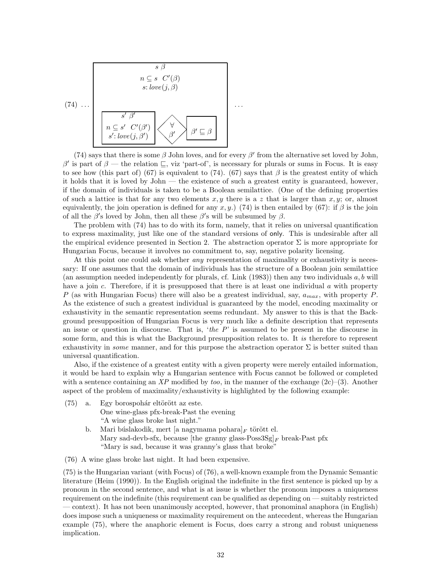

(74) says that there is some  $\beta$  John loves, and for every  $\beta'$  from the alternative set loved by John, β' is part of  $\beta$  — the relation  $\subseteq$ , viz 'part-of', is necessary for plurals or sums in Focus. It is easy to see how (this part of) (67) is equivalent to (74). (67) says that  $\beta$  is the greatest entity of which it holds that it is loved by John — the existence of such a greatest entity is guaranteed, however, if the domain of individuals is taken to be a Boolean semilattice. (One of the defining properties of such a lattice is that for any two elements  $x, y$  there is a z that is larger than  $x, y$ ; or, almost equivalently, the join operation is defined for any x, y.) (74) is then entailed by (67): if  $\beta$  is the join of all the  $\beta'$ s loved by John, then all these  $\beta'$ s will be subsumed by  $\beta$ .

The problem with (74) has to do with its form, namely, that it relies on universal quantification to express maximality, just like one of the standard versions of only. This is undesirable after all the empirical evidence presented in Section 2. The abstraction operator  $\Sigma$  is more appropriate for Hungarian Focus, because it involves no commitment to, say, negative polarity licensing.

At this point one could ask whether *any* representation of maximality or exhaustivity is necessary: If one assumes that the domain of individuals has the structure of a Boolean join semilattice (an assumption needed independently for plurals, cf. Link  $(1983)$ ) then any two individuals a, b will have a join c. Therefore, if it is presupposed that there is at least one individual a with property P (as with Hungarian Focus) there will also be a greatest individual, say,  $a_{max}$ , with property P. As the existence of such a greatest individual is guaranteed by the model, encoding maximality or exhaustivity in the semantic representation seems redundant. My answer to this is that the Background presupposition of Hungarian Focus is very much like a definite description that represents an issue or question in discourse. That is, 'the  $P$ ' is assumed to be present in the discourse in some form, and this is what the Background presupposition relates to. It is therefore to represent exhaustivity in *some* manner, and for this purpose the abstraction operator  $\Sigma$  is better suited than universal quantification.

Also, if the existence of a greatest entity with a given property were merely entailed information, it would be hard to explain why a Hungarian sentence with Focus cannot be followed or completed with a sentence containing an XP modified by too, in the manner of the exchange  $(2c)-(3)$ . Another aspect of the problem of maximality/exhaustivity is highlighted by the following example:

- $(75)$  a. Egy borospohár eltörött az este. One wine-glass pfx-break-Past the evening "A wine glass broke last night."
	- b. Mari búslakodik, mert [a nagymama pohara] $_F$  törött el. Mary sad-devb-sfx, because [the granny glass-Poss  $3Sg|_F$  break-Past pfx "Mary is sad, because it was granny's glass that broke"
- (76) A wine glass broke last night. It had been expensive.

(75) is the Hungarian variant (with Focus) of (76), a well-known example from the Dynamic Semantic literature (Heim (1990)). In the English original the indefinite in the first sentence is picked up by a pronoun in the second sentence, and what is at issue is whether the pronoun imposes a uniqueness requirement on the indefinite (this requirement can be qualified as depending on — suitably restricted — context). It has not been unanimously accepted, however, that pronominal anaphora (in English) does impose such a uniqueness or maximality requirement on the antecedent, whereas the Hungarian example (75), where the anaphoric element is Focus, does carry a strong and robust uniqueness implication.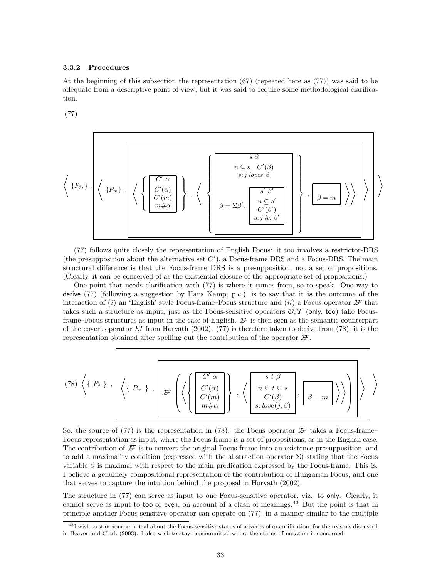#### 3.3.2 Procedures

At the beginning of this subsection the representation (67) (repeated here as (77)) was said to be adequate from a descriptive point of view, but it was said to require some methodological clarification.

(77)

$$
\left\langle \{P_j, \} \right\rangle, \left\langle \left\{P_m \} \right\rangle, \left\langle \left\{ \left\{ \begin{matrix} C' \alpha \\ C'(\alpha) \\ C'(m) \\ m \# \alpha \end{matrix} \right\} \right\rangle, \left\langle \left\{ \left\{ \begin{matrix} \begin{matrix} s & \beta \\ s \cdot j \text{ loves } \beta \\ s \cdot j \text{ loves } \beta \\ 0 \end{matrix} \right\} \\ \beta = \Sigma \beta'. \left\{ \begin{matrix} s' & \beta' \\ s' & \beta' \\ C'(\beta') \\ s \cdot j \text{ lb. } \beta' \end{matrix} \right\} \right\rangle \right\rangle \right\rangle
$$

(77) follows quite closely the representation of English Focus: it too involves a restrictor-DRS (the presupposition about the alternative set  $C'$ ), a Focus-frame DRS and a Focus-DRS. The main structural difference is that the Focus-frame DRS is a presupposition, not a set of propositions. (Clearly, it can be conceived of as the existential closure of the appropriate set of propositions.)

One point that needs clarification with (77) is where it comes from, so to speak. One way to derive (77) (following a suggestion by Hans Kamp, p.c.) is to say that it is the outcome of the interaction of (i) an 'English' style Focus-frame–Focus structure and (ii) a Focus operator  $\mathcal F$  that takes such a structure as input, just as the Focus-sensitive operators  $O, \mathcal{T}$  (only, too) take Focusframe–Focus structures as input in the case of English.  $\mathcal F$  is then seen as the semantic counterpart of the covert operator  $EI$  from Horvath (2002). (77) is therefore taken to derive from (78); it is the representation obtained after spelling out the contribution of the operator  $\mathcal{F}$ .

$$
(78)\ \left\langle \left\{\ P_j\ \right\}\right.,\ \left\{\left\{\ P_m\ \right\}\right.,\ \left\{\mathcal{F}\left(\left\{\left\{\begin{aligned} &C'\ \alpha \\ &C'(\alpha) \\ &C'(m) \\ &m\#\alpha\end{aligned}\right\}\right\},\ \left\langle \left\{\left\{\begin{aligned} &\frac{s\ t\ \beta}{c'(\beta)} \\ &C'(\beta) \\ &s: \text{love}(j,\beta)\end{aligned}\right\},\left\{\underline{\beta=m}\ \right\}\right\rangle \right\rangle\right\}\right\}
$$

So, the source of (77) is the representation in (78): the Focus operator  $\mathcal F$  takes a Focus-frame– Focus representation as input, where the Focus-frame is a set of propositions, as in the English case. The contribution of  $\mathcal F$  is to convert the original Focus-frame into an existence presupposition, and to add a maximality condition (expressed with the abstraction operator  $\Sigma$ ) stating that the Focus variable  $\beta$  is maximal with respect to the main predication expressed by the Focus-frame. This is, I believe a genuinely compositional representation of the contribution of Hungarian Focus, and one that serves to capture the intuition behind the proposal in Horvath (2002).

The structure in (77) can serve as input to one Focus-sensitive operator, viz. to only. Clearly, it cannot serve as input to too or even, on account of a clash of meanings.<sup>43</sup> But the point is that in principle another Focus-sensitive operator can operate on (77), in a manner similar to the multiple

 $43I$  wish to stay noncommittal about the Focus-sensitive status of adverbs of quantification, for the reasons discussed in Beaver and Clark (2003). I also wish to stay noncommittal where the status of negation is concerned.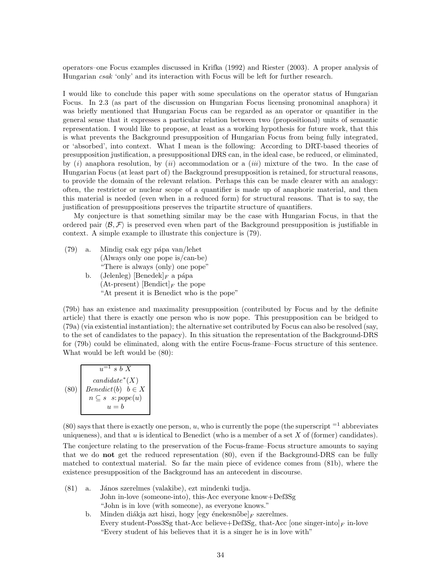operators–one Focus examples discussed in Krifka (1992) and Riester (2003). A proper analysis of Hungarian csak 'only' and its interaction with Focus will be left for further research.

I would like to conclude this paper with some speculations on the operator status of Hungarian Focus. In 2.3 (as part of the discussion on Hungarian Focus licensing pronominal anaphora) it was briefly mentioned that Hungarian Focus can be regarded as an operator or quantifier in the general sense that it expresses a particular relation between two (propositional) units of semantic representation. I would like to propose, at least as a working hypothesis for future work, that this is what prevents the Background presupposition of Hungarian Focus from being fully integrated, or 'absorbed', into context. What I mean is the following: According to DRT-based theories of presupposition justification, a presuppositional DRS can, in the ideal case, be reduced, or eliminated, by  $(i)$  anaphora resolution, by  $(ii)$  accommodation or a  $(iii)$  mixture of the two. In the case of Hungarian Focus (at least part of) the Background presupposition is retained, for structural reasons, to provide the domain of the relevant relation. Perhaps this can be made clearer with an analogy: often, the restrictor or nuclear scope of a quantifier is made up of anaphoric material, and then this material is needed (even when in a reduced form) for structural reasons. That is to say, the justification of presuppositions preserves the tripartite structure of quantifiers.

My conjecture is that something similar may be the case with Hungarian Focus, in that the ordered pair  $\langle \mathcal{B}, \mathcal{F} \rangle$  is preserved even when part of the Background presupposition is justifiable in context. A simple example to illustrate this conjecture is (79).

- (79) a. Mindig csak egy pápa van/lehet (Always only one pope is/can-be) "There is always (only) one pope" b. (Jelenleg) [Benedek]<sub>F</sub> a pápa (At-present) [Bendict]<sub>F</sub> the pope
	- "At present it is Benedict who is the pope"

(79b) has an existence and maximality presupposition (contributed by Focus and by the definite article) that there is exactly one person who is now pope. This presupposition can be bridged to (79a) (via existential instantiation); the alternative set contributed by Focus can also be resolved (say, to the set of candidates to the papacy). In this situation the representation of the Background-DRS for (79b) could be eliminated, along with the entire Focus-frame–Focus structure of this sentence. What would be left would be (80):

(80)  
\n
$$
\begin{array}{c}\n u^{-1} s b X \\
\text{candidate}^*(X) \\
\text{Benedict}(b) \quad b \in X \\
n \subseteq s \quad s:\text{pope}(u) \\
u = b\n\end{array}
$$

 $(80)$  says that there is exactly one person, u, who is currently the pope (the superscript  $^{-1}$  abbreviates uniqueness), and that u is identical to Benedict (who is a member of a set X of (former) candidates).

The conjecture relating to the preservation of the Focus-frame–Focus structure amounts to saying that we do not get the reduced representation (80), even if the Background-DRS can be fully matched to contextual material. So far the main piece of evidence comes from (81b), where the existence presupposition of the Background has an antecedent in discourse.

- (81) a. János szerelmes (valakibe), ezt mindenki tudja. John in-love (someone-into), this-Acc everyone know+Def3Sg "John is in love (with someone), as everyone knows."
	- b. Minden diákja azt hiszi, hogy [egy énekesnőbe] $_F$  szerelmes. Every student-Poss3Sg that-Acc believe+Def3Sg, that-Acc [one singer-into] $_F$  in-love "Every student of his believes that it is a singer he is in love with"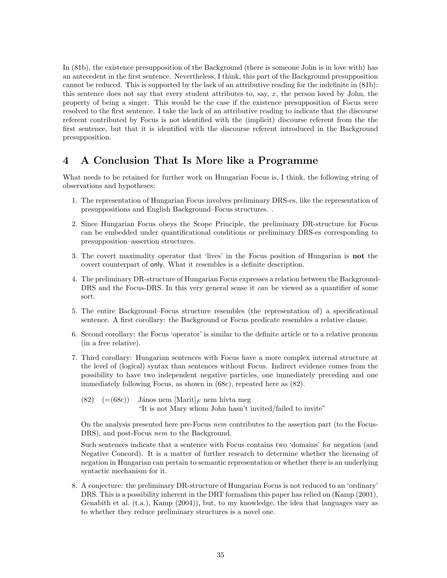In (81b), the existence presupposition of the Background (there is someone John is in love with) has an antecedent in the first sentence. Nevertheless, I think, this part of the Background presupposition cannot be reduced. This is supported by the lack of an attributive reading for the indefinite in (81b): this sentence does not say that every student attributes to, say,  $x$ , the person loved by John, the property of being a singer. This would be the case if the existence presupposition of Focus were resolved to the first sentence. I take the lack of an attributive reading to indicate that the discourse referent contributed by Focus is not identified with the (implicit) discourse referent from the the first sentence, but that it is identified with the discourse referent introduced in the Background presupposition.

# 4 A Conclusion That Is More like a Programme

What needs to be retained for further work on Hungarian Focus is, I think, the following string of observations and hypotheses:

- 1. The representation of Hungarian Focus involves preliminary DRS-es, like the representation of presuppositions and English Background–Focus structures. .
- 2. Since Hungarian Focus obeys the Scope Principle, the preliminary DR-structure for Focus can be embedded under quantificational conditions or preliminary DRS-es corresponding to presupposition–assertion structures.
- 3. The covert maximality operator that 'lives' in the Focus position of Hungarian is not the covert counterpart of only. What it resembles is a definite description.
- 4. The preliminary DR-structure of Hungarian Focus expresses a relation between the Background-DRS and the Focus-DRS. In this very general sense it *can* be viewed as a quantifier of some sort.
- 5. The entire Background–Focus structure resembles (the representation of) a specificational sentence. A first corollary: the Background or Focus predicate resembles a relative clause.
- 6. Second corollary: the Focus 'operator' is similar to the definite article or to a relative pronoun (in a free relative).
- 7. Third corollary: Hungarian sentences with Focus have a more complex internal structure at the level of (logical) syntax than sentences without Focus. Indirect evidence comes from the possibility to have two independent negative particles, one immediately preceding and one immediately following Focus, as shown in (68c), repeated here as (82).
	- (82)  $(=68c)$  János nem  $|\text{Marit}|_F$  nem hívta meg "It is not Mary whom John hasn't invited/failed to invite"

On the analysis presented here pre-Focus nem contributes to the assertion part (to the Focus-DRS), and post-Focus nem to the Background.

Such sentences indicate that a sentence with Focus contains two 'domains' for negation (and Negative Concord). It is a matter of further research to determine whether the licensing of negation in Hungarian can pertain to semantic representation or whether there is an underlying syntactic mechanism for it.

8. A conjecture: the preliminary DR-structure of Hungarian Focus is not reduced to an 'ordinary' DRS. This is a possibility inherent in the DRT formalism this paper has relied on (Kamp (2001), Genabith et al. (t.a.), Kamp (2004)), but, to my knowledge, the idea that languages vary as to whether they reduce preliminary structures is a novel one.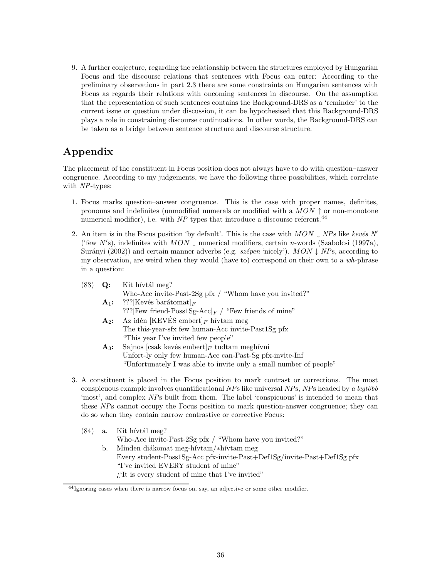9. A further conjecture, regarding the relationship between the structures employed by Hungarian Focus and the discourse relations that sentences with Focus can enter: According to the preliminary observations in part 2.3 there are some constraints on Hungarian sentences with Focus as regards their relations with oncoming sentences in discourse. On the assumption that the representation of such sentences contains the Background-DRS as a 'reminder' to the current issue or question under discussion, it can be hypothesised that this Background-DRS plays a role in constraining discourse continuations. In other words, the Background-DRS can be taken as a bridge between sentence structure and discourse structure.

# Appendix

The placement of the constituent in Focus position does not always have to do with question–answer congruence. According to my judgements, we have the following three possibilities, which correlate with NP-types:

- 1. Focus marks question–answer congruence. This is the case with proper names, definites, pronouns and indefinites (unmodified numerals or modified with a  $MON \uparrow$  or non-monotone numerical modifier), i.e. with  $NP$  types that introduce a discourse referent.<sup>44</sup>
- 2. An item is in the Focus position 'by default'. This is the case with MON  $\downarrow$  NPs like kevés N' ('few N's), indefinites with  $MON \downarrow$  numerical modifiers, certain n-words (Szabolcsi (1997a), Surányi (2002)) and certain manner adverbs (e.g. szépen 'nicely'). MON  $\downarrow$  NPs, according to my observation, are weird when they would (have to) correspond on their own to a wh-phrase in a question:

| (83) | Q:      | Kit hívtál meg?                                                    |
|------|---------|--------------------------------------------------------------------|
|      |         | Who-Acc invite-Past-2Sg pfx / "Whom have you invited?"             |
|      | $A_1$ : | ???[Kevés barátomat] $_F$                                          |
|      |         | ??? [Few friend-Poss1Sg-Acc] $_F$ / "Few friends of mine"          |
|      | $A_2$ : | Az idén [KEVÉS embert] F hívtam meg                                |
|      |         | The this-year-sfx few human-Acc invite-Past1Sg pfx                 |
|      |         | "This year I've invited few people"                                |
|      | $A_3$ : | Sajnos [csak kevés embert] $_F$ tudtam meghívni                    |
|      |         | Unfort-ly only few human-Acc can-Past-Sg pfx-invite-Inf            |
|      |         | "Unfortunately I was able to invite only a small number of people" |
|      |         |                                                                    |
|      |         |                                                                    |

3. A constituent is placed in the Focus position to mark contrast or corrections. The most conspicuous example involves quantificational  $NPs$  like universal  $NPs$ ,  $NPs$  headed by a legtöbb 'most', and complex NPs built from them. The label 'conspicuous' is intended to mean that these NPs cannot occupy the Focus position to mark question-answer congruence; they can do so when they contain narrow contrastive or corrective Focus:

|    | (84) a. Kit hívtál meg?                                                 |
|----|-------------------------------------------------------------------------|
|    | Who-Acc invite-Past-2Sg pfx $/$ "Whom have you invited?"                |
| b. | Minden diákomat meg-hívtam/*hívtam meg                                  |
|    | Every student-Poss1Sg-Acc pfx-invite-Past+Def1Sg/invite-Past+Def1Sg pfx |
|    | "I've invited EVERY student of mine"                                    |
|    | $\chi$ <sup>'</sup> It is every student of mine that I've invited"      |
|    |                                                                         |

<sup>44</sup>Ignoring cases when there is narrow focus on, say, an adjective or some other modifier.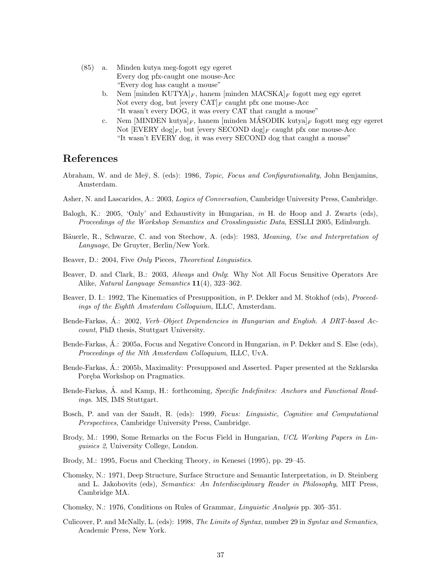- (85) a. Minden kutya meg-fogott egy egeret Every dog pfx-caught one mouse-Acc "Every dog has caught a mouse"
	- b. Nem  $\left[\text{minden KUTYA}\right]_F$ , hanem  $\left[\text{minden MACSKA}\right]_F$  fogott meg egy egeret Not every dog, but [every  $CAT|_F$  caught pfx one mouse-Acc "It wasn't every DOG, it was every CAT that caught a mouse"
	- c. Nem [MINDEN kutya] $_F$ , hanem [minden MÁSODIK kutya] $_F$  fogott meg egy egeret Not  $[{\rm EVERY}\,\log]_F$ , but [every SECOND  $\log]_F$  caught pfx one mouse-Acc "It wasn't EVERY dog, it was every SECOND dog that caught a mouse"

# References

- Abraham, W. and de Mey, S. (eds): 1986, Topic, Focus and Configurationality, John Benjamins, Amsterdam.
- Asher, N. and Lascarides, A.: 2003, Logics of Conversation, Cambridge University Press, Cambridge.
- Balogh, K.: 2005, 'Only' and Exhaustivity in Hungarian, in H. de Hoop and J. Zwarts (eds), Proceedings of the Workshop Semantics and Crosslinguistic Data, ESSLLI 2005, Edinburgh.
- Bäuerle, R., Schwarze, C. and von Stechow, A. (eds): 1983, Meaning, Use and Interpretation of Language, De Gruyter, Berlin/New York.
- Beaver, D.: 2004, Five Only Pieces, Theoretical Linguistics.
- Beaver, D. and Clark, B.: 2003, Always and Only: Why Not All Focus Sensitive Operators Are Alike, Natural Language Semantics 11(4), 323–362.
- Beaver, D. I.: 1992, The Kinematics of Presupposition, in P. Dekker and M. Stokhof (eds), Proceedings of the Eighth Amsterdam Colloquium, ILLC, Amsterdam.
- Bende-Farkas, A.: 2002, Verb–Object Dependencies in Hungarian and English. A DRT-based Account, PhD thesis, Stuttgart University.
- Bende-Farkas, Á.: 2005a, Focus and Negative Concord in Hungarian, in P. Dekker and S. Else (eds), Proceedings of the Nth Amsterdam Colloquium, ILLC, UvA.
- Bende-Farkas, A.: 2005b, Maximality: Presupposed and Asserted. Paper presented at the Szklarska Poręba Workshop on Pragmatics.
- Bende-Farkas, A. and Kamp, H.: forthcoming, *Specific Indefinites: Anchors and Functional Read*ings. MS, IMS Stuttgart.
- Bosch, P. and van der Sandt, R. (eds): 1999, Focus: Linguistic, Cognitive and Computational Perspectives, Cambridge University Press, Cambridge.
- Brody, M.: 1990, Some Remarks on the Focus Field in Hungarian, UCL Working Papers in Linguisics 2, University College, London.
- Brody, M.: 1995, Focus and Checking Theory, in Kenesei (1995), pp. 29–45.
- Chomsky, N.: 1971, Deep Structure, Surface Structure and Semantic Interpretation, in D. Steinberg and L. Jakobovits (eds), Semantics: An Interdisciplinary Reader in Philosophy, MIT Press, Cambridge MA.
- Chomsky, N.: 1976, Conditions on Rules of Grammar, Linguistic Analysis pp. 305–351.
- Culicover, P. and McNally, L. (eds): 1998, The Limits of Syntax, number 29 in Syntax and Semantics, Academic Press, New York.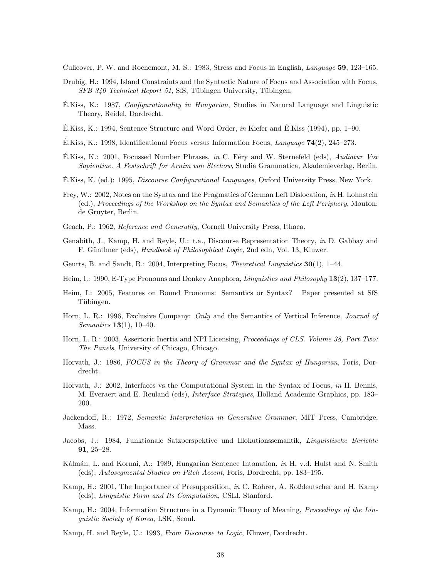Culicover, P. W. and Rochemont, M. S.: 1983, Stress and Focus in English, Language 59, 123–165.

- Drubig, H.: 1994, Island Constraints and the Syntactic Nature of Focus and Association with Focus,  $SFB 340$  Technical Report 51, SfS, Tübingen University, Tübingen.
- $E.Kiss, K.: 1987, *Configurationality in Hungarian*, Studies in Natural Language and Linguistic$ Theory, Reidel, Dordrecht.
- $\hat{E}$ .Kiss, K.: 1994, Sentence Structure and Word Order, in Kiefer and  $\hat{E}$ .Kiss (1994), pp. 1–90.
- E.Kiss, K.: 1998, Identificational Focus versus Information Focus, Language  $74(2)$ , 245–273.
- $E.Kiss, K.: 2001, Focused Number Phrases, in C. Féry and W. Sternefeld (eds), *Audiatur Vox*$ Sapientiae. A Festschrift for Arnim von Stechow, Studia Grammatica, Akademieverlag, Berlin.
- E.Kiss, K. (ed.): 1995, *Discourse Configurational Languages*, Oxford University Press, New York.
- Frey, W.: 2002, Notes on the Syntax and the Pragmatics of German Left Dislocation, in H. Lohnstein (ed.), Proceedings of the Workshop on the Syntax and Semantics of the Left Periphery, Mouton: de Gruyter, Berlin.
- Geach, P.: 1962, Reference and Generality, Cornell University Press, Ithaca.
- Genabith, J., Kamp, H. and Reyle, U.: t.a., Discourse Representation Theory, in D. Gabbay and F. Günthner (eds), *Handbook of Philosophical Logic*, 2nd edn, Vol. 13, Kluwer.
- Geurts, B. and Sandt, R.: 2004, Interpreting Focus, Theoretical Linguistics 30(1), 1–44.
- Heim, I.: 1990, E-Type Pronouns and Donkey Anaphora, Linguistics and Philosophy 13(2), 137–177.
- Heim, I.: 2005, Features on Bound Pronouns: Semantics or Syntax? Paper presented at SfS Tubingen. ¨
- Horn, L. R.: 1996, Exclusive Company: Only and the Semantics of Vertical Inference, Journal of *Semantics* **13**(1), 10–40.
- Horn, L. R.: 2003, Assertoric Inertia and NPI Licensing, *Proceedings of CLS. Volume 38, Part Two:* The Panels, University of Chicago, Chicago.
- Horvath, J.: 1986, FOCUS in the Theory of Grammar and the Syntax of Hungarian, Foris, Dordrecht.
- Horvath, J.: 2002, Interfaces vs the Computational System in the Syntax of Focus, in H. Bennis, M. Everaert and E. Reuland (eds), Interface Strategies, Holland Academic Graphics, pp. 183– 200.
- Jackendoff, R.: 1972, Semantic Interpretation in Generative Grammar, MIT Press, Cambridge, Mass.
- Jacobs, J.: 1984, Funktionale Satzperspektive und Illokutionssemantik, Linguistische Berichte 91, 25–28.
- Kálmán, L. and Kornai, A.: 1989, Hungarian Sentence Intonation, *in* H. v.d. Hulst and N. Smith (eds), Autosegmental Studies on Pitch Accent, Foris, Dordrecht, pp. 183–195.
- Kamp, H.: 2001, The Importance of Presupposition, in C. Rohrer, A. Roßdeutscher and H. Kamp (eds), Linguistic Form and Its Computation, CSLI, Stanford.
- Kamp, H.: 2004, Information Structure in a Dynamic Theory of Meaning, Proceedings of the Linguistic Society of Korea, LSK, Seoul.
- Kamp, H. and Reyle, U.: 1993, From Discourse to Logic, Kluwer, Dordrecht.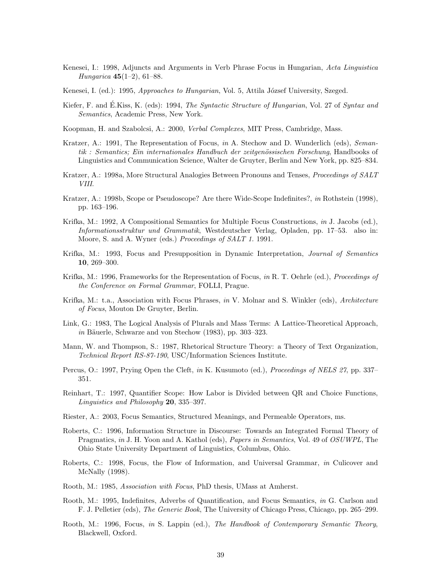- Kenesei, I.: 1998, Adjuncts and Arguments in Verb Phrase Focus in Hungarian, Acta Linguistica *Hungarica* 45(1–2), 61–88.
- Kenesei, I. (ed.): 1995, Approaches to Hungarian, Vol. 5, Attila József University, Szeged.
- Kiefer, F. and E.Kiss, K. (eds): 1994, The Syntactic Structure of Hungarian, Vol. 27 of Syntax and Semantics, Academic Press, New York.
- Koopman, H. and Szabolcsi, A.: 2000, Verbal Complexes, MIT Press, Cambridge, Mass.
- Kratzer, A.: 1991, The Representation of Focus, in A. Stechow and D. Wunderlich (eds), Seman $tik$ : Semantics; Ein internationales Handbuch der zeitgenössischen Forschung, Handbooks of Linguistics and Communication Science, Walter de Gruyter, Berlin and New York, pp. 825–834.
- Kratzer, A.: 1998a, More Structural Analogies Between Pronouns and Tenses, *Proceedings of SALT* VIII.
- Kratzer, A.: 1998b, Scope or Pseudoscope? Are there Wide-Scope Indefinites?, in Rothstein (1998), pp. 163–196.
- Krifka, M.: 1992, A Compositional Semantics for Multiple Focus Constructions, in J. Jacobs (ed.), Informationsstruktur und Grammatik, Westdeutscher Verlag, Opladen, pp. 17–53. also in: Moore, S. and A. Wyner (eds.) Proceedings of SALT 1. 1991.
- Krifka, M.: 1993, Focus and Presupposition in Dynamic Interpretation, Journal of Semantics 10, 269–300.
- Krifka, M.: 1996, Frameworks for the Representation of Focus, in R. T. Oehrle (ed.), *Proceedings of* the Conference on Formal Grammar, FOLLI, Prague.
- Krifka, M.: t.a., Association with Focus Phrases, in V. Molnar and S. Winkler (eds), Architecture of Focus, Mouton De Gruyter, Berlin.
- Link, G.: 1983, The Logical Analysis of Plurals and Mass Terms: A Lattice-Theoretical Approach, in Bäuerle, Schwarze and von Stechow  $(1983)$ , pp. 303–323.
- Mann, W. and Thompson, S.: 1987, Rhetorical Structure Theory: a Theory of Text Organization, Technical Report RS-87-190, USC/Information Sciences Institute.
- Percus, O.: 1997, Prying Open the Cleft, in K. Kusumoto (ed.), *Proceedings of NELS 27*, pp. 337– 351.
- Reinhart, T.: 1997, Quantifier Scope: How Labor is Divided between QR and Choice Functions, Linguistics and Philosophy 20, 335–397.
- Riester, A.: 2003, Focus Semantics, Structured Meanings, and Permeable Operators, ms.
- Roberts, C.: 1996, Information Structure in Discourse: Towards an Integrated Formal Theory of Pragmatics, in J. H. Yoon and A. Kathol (eds), Papers in Semantics, Vol. 49 of OSUWPL, The Ohio State University Department of Linguistics, Columbus, Ohio.
- Roberts, C.: 1998, Focus, the Flow of Information, and Universal Grammar, in Culicover and McNally (1998).
- Rooth, M.: 1985, Association with Focus, PhD thesis, UMass at Amherst.
- Rooth, M.: 1995, Indefinites, Adverbs of Quantification, and Focus Semantics, in G. Carlson and F. J. Pelletier (eds), The Generic Book, The University of Chicago Press, Chicago, pp. 265–299.
- Rooth, M.: 1996, Focus, in S. Lappin (ed.), The Handbook of Contemporary Semantic Theory, Blackwell, Oxford.